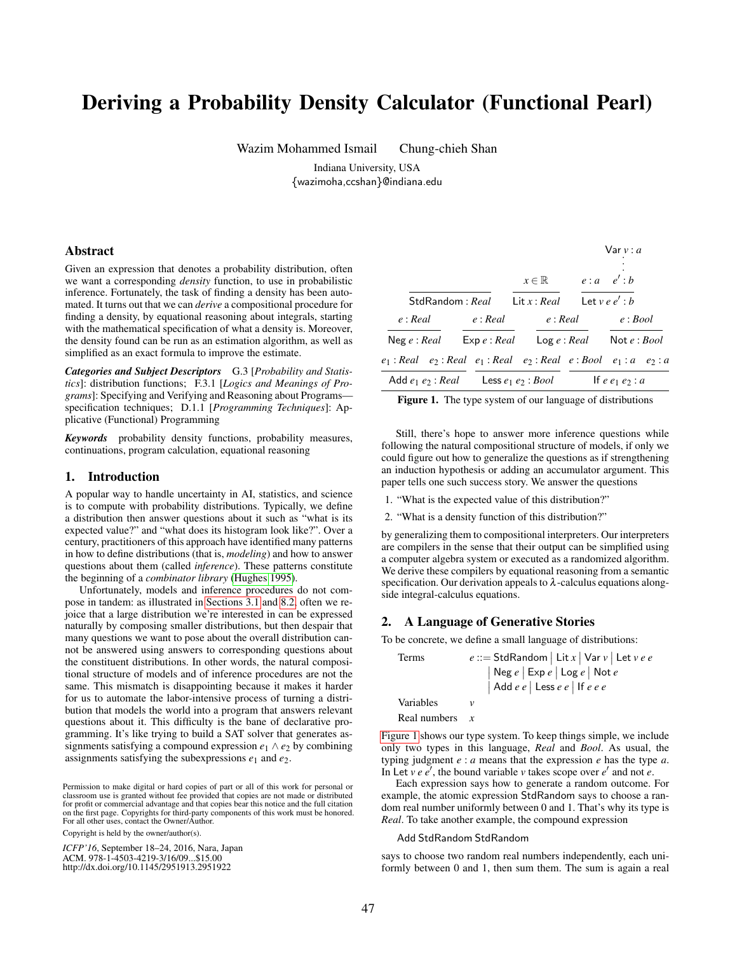# Deriving a Probability Density Calculator (Functional Pearl)

Wazim Mohammed Ismail Chung-chieh Shan

Indiana University, USA {wazimoha,ccshan}@indiana.edu

# Abstract

Given an expression that denotes a probability distribution, often we want a corresponding *density* function, to use in probabilistic inference. Fortunately, the task of finding a density has been automated. It turns out that we can *derive* a compositional procedure for finding a density, by equational reasoning about integrals, starting with the mathematical specification of what a density is. Moreover, the density found can be run as an estimation algorithm, as well as simplified as an exact formula to improve the estimate.

*Categories and Subject Descriptors* G.3 [*Probability and Statistics*]: distribution functions; F.3.1 [*Logics and Meanings of Programs*]: Specifying and Verifying and Reasoning about Programs specification techniques; D.1.1 [*Programming Techniques*]: Applicative (Functional) Programming

*Keywords* probability density functions, probability measures, continuations, program calculation, equational reasoning

# 1. Introduction

A popular way to handle uncertainty in AI, statistics, and science is to compute with probability distributions. Typically, we define a distribution then answer questions about it such as "what is its expected value?" and "what does its histogram look like?". Over a century, practitioners of this approach have identified many patterns in how to define distributions (that is, *modeling*) and how to answer questions about them (called *inference*). These patterns constitute the beginning of a *combinator library* [\(Hughes 1995\)](#page-11-0).

Unfortunately, models and inference procedures do not compose in tandem: as illustrated in [Sections 3.1](#page-2-0) and [8.2,](#page-10-0) often we rejoice that a large distribution we're interested in can be expressed naturally by composing smaller distributions, but then despair that many questions we want to pose about the overall distribution cannot be answered using answers to corresponding questions about the constituent distributions. In other words, the natural compositional structure of models and of inference procedures are not the same. This mismatch is disappointing because it makes it harder for us to automate the labor-intensive process of turning a distribution that models the world into a program that answers relevant questions about it. This difficulty is the bane of declarative programming. It's like trying to build a SAT solver that generates assignments satisfying a compound expression  $e_1 \wedge e_2$  by combining assignments satisfying the subexpressions *e*<sup>1</sup> and *e*2.

Permission to make digital or hard copies of part or all of this work for personal or classroom use is granted without fee provided that copies are not made or distributed for profit or commercial advantage and that copies bear this notice and the full citation on the first page. Copyrights for third-party components of this work must be honored. For all other uses, contact the Owner/Author.

Copyright is held by the owner/author(s).

*ICFP'16*, September 18–24, 2016, Nara, Japan ACM. 978-1-4503-4219-3/16/09...\$15.00 http://dx.doi.org/10.1145/2951913.2951922

|                                                                                      |              |                                | Var v: a           |  |  |
|--------------------------------------------------------------------------------------|--------------|--------------------------------|--------------------|--|--|
|                                                                                      |              | $x \in \mathbb{R}$             | $e:a\ \ e':b$      |  |  |
| StdRandom: Real                                                                      |              | List x: Real                   | Let $vee' : b$     |  |  |
| e: Real                                                                              | e: Real      | e: Real                        | e:Bool             |  |  |
| Neg $e:Real$                                                                         | Exp e : Real | $\textsf{Log }e : Real$        | Not $e:Bool$       |  |  |
| $e_1$ : Real $e_2$ : Real $e_1$ : Real $e_2$ : Real $e_1$ : Bool $e_1$ : a $e_2$ : a |              |                                |                    |  |  |
| Add $e_1$ $e_2$ : Real                                                               |              | Less $e_1$ $e_2$ : <i>Bool</i> | If $e e_1 e_2$ : a |  |  |

<span id="page-0-0"></span>Figure 1. The type system of our language of distributions

Still, there's hope to answer more inference questions while following the natural compositional structure of models, if only we could figure out how to generalize the questions as if strengthening an induction hypothesis or adding an accumulator argument. This paper tells one such success story. We answer the questions

- 1. "What is the expected value of this distribution?"
- 2. "What is a density function of this distribution?"

by generalizing them to compositional interpreters. Our interpreters are compilers in the sense that their output can be simplified using a computer algebra system or executed as a randomized algorithm. We derive these compilers by equational reasoning from a semantic specification. Our derivation appeals to  $\lambda$ -calculus equations alongside integral-calculus equations.

## 2. A Language of Generative Stories

To be concrete, we define a small language of distributions:

| Terms                  | e ::= StdRandom   Lit x   Var $v$   Let $v e e$           |
|------------------------|-----------------------------------------------------------|
|                        | $\vert$ Neg $e \vert$ Exp $e \vert$ Log $e \vert$ Not $e$ |
|                        | $ $ Add $e e$ $ $ Less $e e$ $ $ If $e e e$               |
| Variables              |                                                           |
| Real numbers $\quad x$ |                                                           |
|                        |                                                           |

[Figure 1](#page-0-0) shows our type system. To keep things simple, we include only two types in this language, *Real* and *Bool*. As usual, the typing judgment *e* : *a* means that the expression *e* has the type *a*. In Let  $\dot{v}$  *e*  $\dot{e}$ , the bound variable  $v$  takes scope over  $e'$  and not  $\dot{e}$ .

Each expression says how to generate a random outcome. For example, the atomic expression StdRandom says to choose a random real number uniformly between 0 and 1. That's why its type is *Real*. To take another example, the compound expression

#### Add StdRandom StdRandom

says to choose two random real numbers independently, each uniformly between 0 and 1, then sum them. The sum is again a real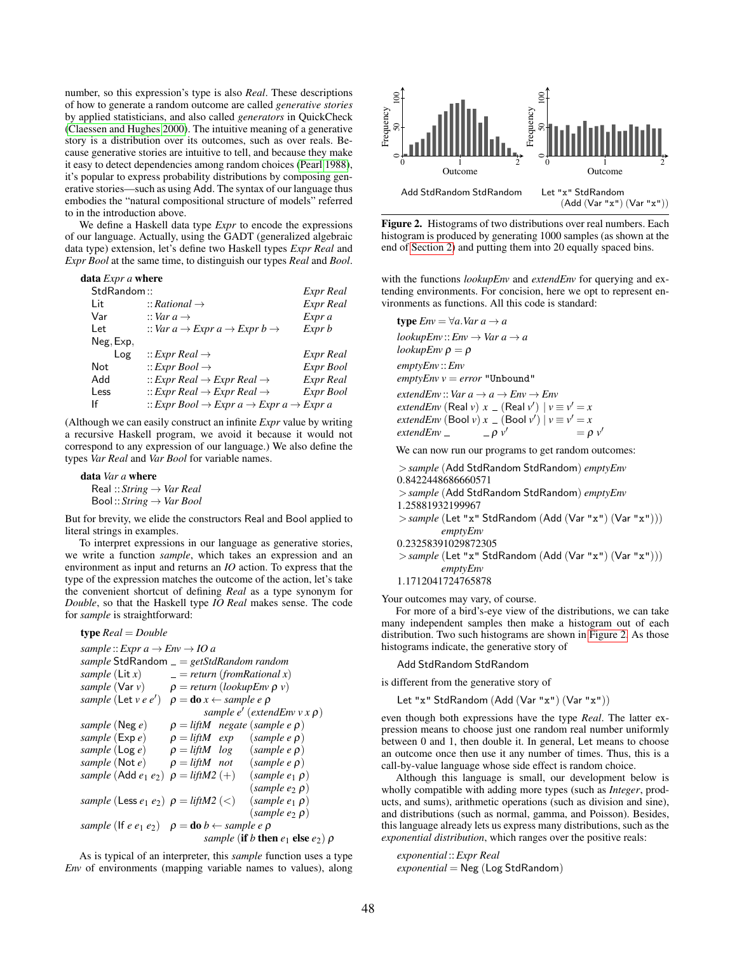number, so this expression's type is also *Real*. These descriptions of how to generate a random outcome are called *generative stories* by applied statisticians, and also called *generators* in QuickCheck [\(Claessen and Hughes 2000\)](#page-11-1). The intuitive meaning of a generative story is a distribution over its outcomes, such as over reals. Because generative stories are intuitive to tell, and because they make it easy to detect dependencies among random choices [\(Pearl 1988\)](#page-11-2), it's popular to express probability distributions by composing generative stories—such as using Add. The syntax of our language thus embodies the "natural compositional structure of models" referred to in the introduction above.

We define a Haskell data type *Expr* to encode the expressions of our language. Actually, using the GADT (generalized algebraic data type) extension, let's define two Haskell types *Expr Real* and *Expr Bool* at the same time, to distinguish our types *Real* and *Bool*.

## data *Expr a* where

| StdRandom:: |                                                                                                                  | Expr Real        |
|-------------|------------------------------------------------------------------------------------------------------------------|------------------|
| Lit         | $::Rational \rightarrow$                                                                                         | <b>Expr</b> Real |
| Var         | $::Var a \rightarrow$                                                                                            | Expr a           |
| Let         | $::$ Var $a \rightarrow E$ xpr $a \rightarrow E$ xpr $b \rightarrow$                                             | Expr <i>b</i>    |
| Neg, Exp.   |                                                                                                                  |                  |
| Log         | $::\text{Expr}$ Real $\rightarrow$                                                                               | Expr Real        |
| Not         | $::\mathop{Expr} \mathop{Bool} \rightarrow$                                                                      | Expr Bool        |
| Add         | $::\text{Expr}$ Real $\rightarrow$ Expr Real $\rightarrow$                                                       | Expr Real        |
| Less        | $::\text{Expr}$ Real $\rightarrow$ Expr Real $\rightarrow$                                                       | Expr Bool        |
| ١f          | $::\mathit{Expr}$ Bool $\rightarrow \mathit{Expr}$ a $\rightarrow \mathit{Expr}$ a $\rightarrow \mathit{Expr}$ a |                  |

(Although we can easily construct an infinite *Expr* value by writing a recursive Haskell program, we avoid it because it would not correspond to any expression of our language.) We also define the types *Var Real* and *Var Bool* for variable names.

data *Var a* where Real :: *String* → *Var Real* Bool :: *String* → *Var Bool*

But for brevity, we elide the constructors Real and Bool applied to literal strings in examples.

To interpret expressions in our language as generative stories, we write a function *sample*, which takes an expression and an environment as input and returns an *IO* action. To express that the type of the expression matches the outcome of the action, let's take the convenient shortcut of defining *Real* as a type synonym for *Double*, so that the Haskell type *IO Real* makes sense. The code for *sample* is straightforward:

```
type Real = Double
```

```
sample :: Expr a \rightarrow Env \rightarrow IO a
sample StdRandom = getStdRandom random
sample (Lit x) = return (fromRational x)
sample (Var v) \rho = return (lookupEnv \rho v) (Let vee<i>e') \rho =do x \leftarrowsample e \rhosample e' (extendEnv v x ρ)
sample (Neg e) \rho = liftM negate (sample e \rho) sample (Exp e) \rho = liftM exp (sample e \rho)
                          \rho = liftM exp (sample e \rho)<br>
\rho = liftM log (sample e \rho)
sample (Log e)
sample (Not e) \rho = liftM not (sample e \rho)
sample (Add e_1 e_2) \rho = liftM2 (+) (sample e_1 \rho)(sample e_2 \rho)<br>(sample e_1 \rho)sample (Less e_1 e_2) \rho = l \text{if } M2 \leq \epsilon)
                                                  (sample e2 ρ)
sample (If e e<sub>1</sub> e<sub>2</sub>) \rho =do b \leftarrow sample e \rhosample (if b then e_1 else e_2) \rho
```
As is typical of an interpreter, this *sample* function uses a type *Env* of environments (mapping variable names to values), along



<span id="page-1-0"></span>Figure 2. Histograms of two distributions over real numbers. Each histogram is produced by generating 1000 samples (as shown at the end of [Section 2\)](#page-1-0) and putting them into 20 equally spaced bins.

with the functions *lookupEnv* and *extendEnv* for querying and extending environments. For concision, here we opt to represent environments as functions. All this code is standard:

$$
type Env = ∀a. Var a → a
$$
  
\n*lookupEnv* :: *Env* → *Var a → a*  
\n*lookupEnv*  $\rho = \rho$   
\n*emptyEnv* := *Env*  
\n*emptyEnv* := *error* "Unbound"  
\n*extendEnv* :: *Var a → a → Env → Env*  
\n*extendEnv* (Real *v*) *x* – (Real *v'*) | *v* ≡ *v'* = *x*  
\n*extendEnv* (Bool *v*) *x* – (Bool *v'*) | *v* ≡ *v'* = *x*  
\n*extendEnv* – *ρ v'* = *ρ v'*

We can now run our programs to get random outcomes:

>*sample* (Add StdRandom StdRandom) *emptyEnv* 0.8422448686660571 >*sample* (Add StdRandom StdRandom) *emptyEnv* 1.25881932199967 >*sample* (Let "x" StdRandom (Add (Var "x") (Var "x"))) *emptyEnv* 0.23258391029872305 >*sample* (Let "x" StdRandom (Add (Var "x") (Var "x"))) *emptyEnv* 1.1712041724765878

Your outcomes may vary, of course.

For more of a bird's-eye view of the distributions, we can take many independent samples then make a histogram out of each distribution. Two such histograms are shown in [Figure 2.](#page-1-0) As those histograms indicate, the generative story of

Add StdRandom StdRandom

is different from the generative story of

Let "x" StdRandom (Add (Var "x") (Var "x"))

even though both expressions have the type *Real*. The latter expression means to choose just one random real number uniformly between 0 and 1, then double it. In general, Let means to choose an outcome once then use it any number of times. Thus, this is a call-by-value language whose side effect is random choice.

Although this language is small, our development below is wholly compatible with adding more types (such as *Integer*, products, and sums), arithmetic operations (such as division and sine), and distributions (such as normal, gamma, and Poisson). Besides, this language already lets us express many distributions, such as the *exponential distribution*, which ranges over the positive reals:

*exponential* ::*Expr Real exponential* = Neg (Log StdRandom)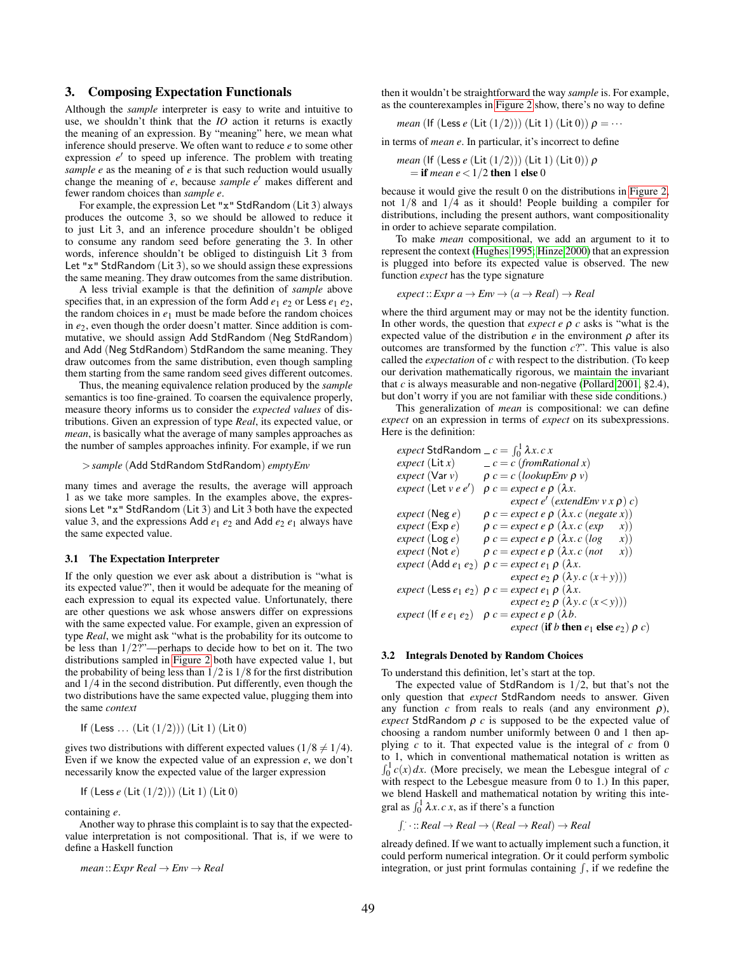# 3. Composing Expectation Functionals

Although the *sample* interpreter is easy to write and intuitive to use, we shouldn't think that the *IO* action it returns is exactly the meaning of an expression. By "meaning" here, we mean what inference should preserve. We often want to reduce *e* to some other expression  $e'$  to speed up inference. The problem with treating *sample e* as the meaning of *e* is that such reduction would usually change the meaning of *e*, because *sample e'* makes different and fewer random choices than *sample e*.

For example, the expression Let "x" StdRandom (Lit 3) always produces the outcome 3, so we should be allowed to reduce it to just Lit 3, and an inference procedure shouldn't be obliged to consume any random seed before generating the 3. In other words, inference shouldn't be obliged to distinguish Lit 3 from Let "x" StdRandom (Lit 3), so we should assign these expressions the same meaning. They draw outcomes from the same distribution.

A less trivial example is that the definition of *sample* above specifies that, in an expression of the form Add  $e_1$   $e_2$  or Less  $e_1$   $e_2$ , the random choices in  $e_1$  must be made before the random choices in *e*2, even though the order doesn't matter. Since addition is commutative, we should assign Add StdRandom (Neg StdRandom) and Add (Neg StdRandom) StdRandom the same meaning. They draw outcomes from the same distribution, even though sampling them starting from the same random seed gives different outcomes.

Thus, the meaning equivalence relation produced by the *sample* semantics is too fine-grained. To coarsen the equivalence properly, measure theory informs us to consider the *expected values* of distributions. Given an expression of type *Real*, its expected value, or *mean*, is basically what the average of many samples approaches as the number of samples approaches infinity. For example, if we run

### >*sample* (Add StdRandom StdRandom) *emptyEnv*

many times and average the results, the average will approach 1 as we take more samples. In the examples above, the expressions Let "x" StdRandom (Lit 3) and Lit 3 both have the expected value 3, and the expressions Add  $e_1$   $e_2$  and Add  $e_2$   $e_1$  always have the same expected value.

#### <span id="page-2-0"></span>3.1 The Expectation Interpreter

If the only question we ever ask about a distribution is "what is its expected value?", then it would be adequate for the meaning of each expression to equal its expected value. Unfortunately, there are other questions we ask whose answers differ on expressions with the same expected value. For example, given an expression of type *Real*, we might ask "what is the probability for its outcome to be less than 1/2?"—perhaps to decide how to bet on it. The two distributions sampled in [Figure 2](#page-1-0) both have expected value 1, but the probability of being less than  $1/2$  is  $1/8$  for the first distribution and 1/4 in the second distribution. Put differently, even though the two distributions have the same expected value, plugging them into the same *context*

If  $( {\sf Less} \, \ldots \, ( {\sf Lit} \, (1/2) ) )$   $( {\sf Lit} \, 1)$   $( {\sf Lit} \, 0 )$ 

gives two distributions with different expected values ( $1/8 \neq 1/4$ ). Even if we know the expected value of an expression *e*, we don't necessarily know the expected value of the larger expression

If (Less 
$$
e
$$
 (Lit  $(1/2)$ )) (Lit  $1$ ) (Lit  $0$ )

containing *e*.

Another way to phrase this complaint is to say that the expectedvalue interpretation is not compositional. That is, if we were to define a Haskell function

$$
mean::Expr\,Real \rightarrow Env \rightarrow Real
$$

then it wouldn't be straightforward the way *sample* is. For example, as the counterexamples in [Figure 2](#page-1-0) show, there's no way to define

*mean* (If (Less *e* (Lit (1/2))) (Lit 1) (Lit 0)) 
$$
\rho = \cdots
$$

in terms of *mean e*. In particular, it's incorrect to define

*mean* (If (Less *e* (Lit (1/2))) (Lit 1) (Lit 0)) 
$$
\rho
$$
  
= **if** *mean e* < 1/2 **then** 1 **else** 0

because it would give the result 0 on the distributions in [Figure 2,](#page-1-0) not 1/8 and 1/4 as it should! People building a compiler for distributions, including the present authors, want compositionality in order to achieve separate compilation.

To make *mean* compositional, we add an argument to it to represent the context [\(Hughes 1995;](#page-11-0) [Hinze 2000\)](#page-11-3) that an expression is plugged into before its expected value is observed. The new function *expect* has the type signature

 $\ell$ *expect* :: *Expr a*  $\rightarrow$  *Env*  $\rightarrow$  (*a*  $\rightarrow$  *Real*)  $\rightarrow$  *Real* 

where the third argument may or may not be the identity function. In other words, the question that *expect e*  $\rho$  *c* asks is "what is the expected value of the distribution  $e$  in the environment  $\rho$  after its outcomes are transformed by the function *c*?". This value is also called the *expectation* of *c* with respect to the distribution. (To keep our derivation mathematically rigorous, we maintain the invariant that *c* is always measurable and non-negative [\(Pollard 2001,](#page-11-4) §2.4), but don't worry if you are not familiar with these side conditions.)

This generalization of *mean* is compositional: we can define *expect* on an expression in terms of *expect* on its subexpressions. Here is the definition:

```
\emph{expect} StdRandom \emph{\_} c = \int_0^1 \lambda x.\, c\, xexpect (Lit x) c = c (from Rational x)expect (Var v) \rho c = c (lookupEnv \rho v)
\epsilonexpect (Let v \epsilon e') \rho c = expect e \rho (\lambda x.
                                     expect e0
(extendEnv v x ρ) c)
expect (Neg e) \rho c = expect e \rho (\lambda x. c (negative x))expect (Exp e) \rho c = expect e \rho (\lambdax. c (exp x)) expect (Log e)
expect (Log e) \rho c = expect e \rho (\lambdax. c (log x)) cxpect (Not e)
                           \rho c = expect e \rho (\lambda x, c (not x))
expect (Add e<sub>1</sub> e<sub>2</sub>) \rho c = expect e<sub>1</sub> \rho (\lambdax.
                                     expect e<sub>2</sub> \rho (\lambda y.c (x + y)))
expect (Less e_1 e_2) \rho c = expect e_1 \rho (\lambda x).
                                     expect e<sub>2</sub> \rho (\lambda y.c (x < y)))
expect (If e e<sub>1</sub> e<sub>2</sub>) \rho c = expect e \rho (\lambda b.
                                     expect (if b then e_1 else e_2) \rho c)
```
### 3.2 Integrals Denoted by Random Choices

To understand this definition, let's start at the top.

The expected value of  $StdRandom$  is  $1/2$ , but that's not the only question that *expect* StdRandom needs to answer. Given any function  $c$  from reals to reals (and any environment  $\rho$ ), *expect* StdRandom  $\rho$  *c* is supposed to be the expected value of choosing a random number uniformly between 0 and 1 then applying *c* to it. That expected value is the integral of *c* from 0 to 1, which in conventional mathematical notation is written as  $\int_0^1 c(x) dx$ . (More precisely, we mean the Lebesgue integral of *c* with respect to the Lebesgue measure from 0 to 1.) In this paper, we blend Haskell and mathematical notation by writing this integral as  $\int_0^1 \lambda x \cdot c \cdot x$ , as if there's a function

$$
\int \cdot : : Real \rightarrow Real \rightarrow (Real \rightarrow Real) \rightarrow Real
$$

already defined. If we want to actually implement such a function, it could perform numerical integration. Or it could perform symbolic integration, or just print formulas containing  $\int$ , if we redefine the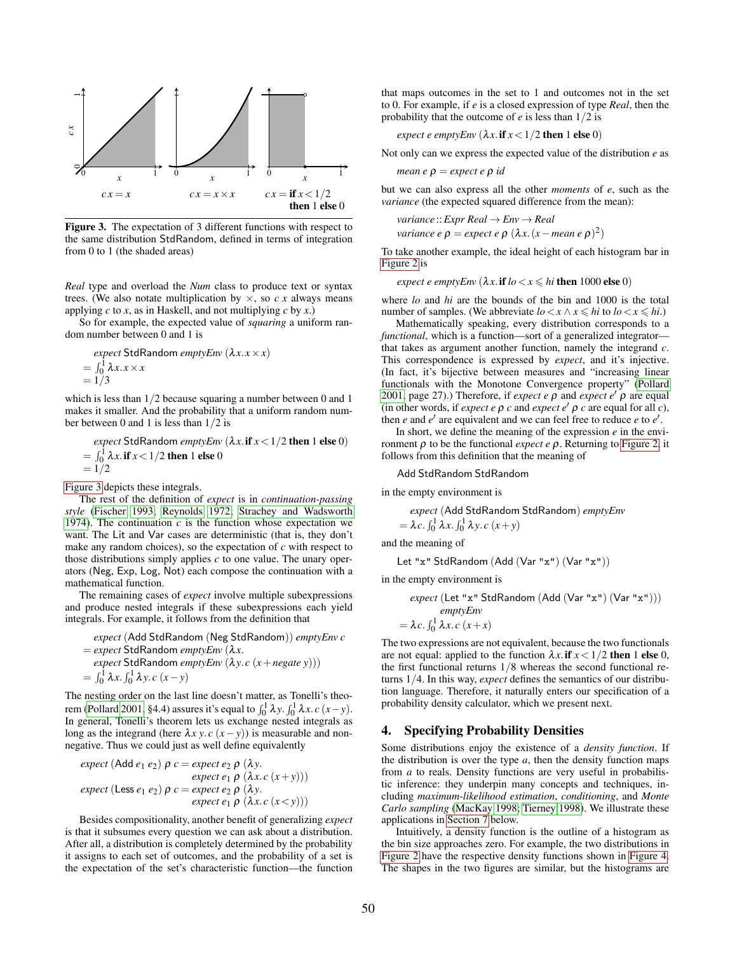

<span id="page-3-0"></span>Figure 3. The expectation of 3 different functions with respect to the same distribution StdRandom, defined in terms of integration from 0 to 1 (the shaded areas)

*Real* type and overload the *Num* class to produce text or syntax trees. (We also notate multiplication by  $\times$ , so *c x* always means applying *c* to *x*, as in Haskell, and not multiplying *c* by *x*.)

So for example, the expected value of *squaring* a uniform random number between 0 and 1 is

$$
expect StdRandom emptyEnv (\lambda x.x \times x)
$$
  
=  $\int_0^1 \lambda x.x \times x$   
= 1/3

which is less than 1/2 because squaring a number between 0 and 1 makes it smaller. And the probability that a uniform random number between 0 and 1 is less than 1/2 is

*expect* StdRandom *emptyEnv* ( $\lambda x$ . **if**  $x < 1/2$  then 1 else 0)  $= \int_0^1 \lambda x \cdot$  if *x* < 1/2 then 1 else 0  $= 1/2$ 

[Figure 3](#page-3-0) depicts these integrals.

 $=$ 

The rest of the definition of *expect* is in *continuation-passing style* [\(Fischer 1993;](#page-11-5) [Reynolds 1972;](#page-11-6) [Strachey and Wadsworth](#page-11-7) [1974\)](#page-11-7). The continuation  $c$  is the function whose expectation we want. The Lit and Var cases are deterministic (that is, they don't make any random choices), so the expectation of *c* with respect to those distributions simply applies *c* to one value. The unary operators (Neg, Exp, Log, Not) each compose the continuation with a mathematical function.

The remaining cases of *expect* involve multiple subexpressions and produce nested integrals if these subexpressions each yield integrals. For example, it follows from the definition that

*expect* (Add StdRandom (Neg StdRandom)) *emptyEnv c* = *expect* StdRandom *emptyEnv* (λ*x*. *expect* StdRandom *emptyEnv* (λ*y*. *c* (*x*+*negate y*)))  $= \int_0^1 \lambda x \cdot \int_0^1 \lambda y \cdot c \cdot (x - y)$ 

The nesting order on the last line doesn't matter, as Tonelli's theo-rem [\(Pollard 2001,](#page-11-4) §4.4) assures it's equal to  $\int_0^1 \lambda y \cdot \int_0^1 \lambda x \cdot c(x-y)$ . In general, Tonelli's theorem lets us exchange nested integrals as long as the integrand (here  $\lambda x y$ . *c* (*x*−*y*)) is measurable and nonnegative. Thus we could just as well define equivalently

$$
expect (Add e1 e2) \rho c = expect e2 \rho (\lambda y.expect e1 \rho (\lambda x.c (x+y)))expect (Less e1 e2) \rho c = expect e2 \rho (\lambda y.expect e1 \rho (\lambda x.c (x < y)))
$$

Besides compositionality, another benefit of generalizing *expect* is that it subsumes every question we can ask about a distribution. After all, a distribution is completely determined by the probability it assigns to each set of outcomes, and the probability of a set is the expectation of the set's characteristic function—the function that maps outcomes in the set to 1 and outcomes not in the set to 0. For example, if *e* is a closed expression of type *Real*, then the probability that the outcome of *e* is less than 1/2 is

*expect e emptyEnv* (
$$
\lambda x
$$
.**if**  $x < 1/2$  **then** 1 **else** 0)

Not only can we express the expected value of the distribution *e* as

mean 
$$
e \rho =
$$
 expect  $e \rho$  id

but we can also express all the other *moments* of *e*, such as the *variance* (the expected squared difference from the mean):

*variance* ::*Expr Real* → *Env* → *Real variance e*  $\rho =$  *expect e*  $\rho (\lambda x. (x - \text{mean } e \rho)^2)$ 

To take another example, the ideal height of each histogram bar in [Figure 2](#page-1-0) is

*expect e emptyEnv* ( $\lambda x$ . **if**  $l_0 < x \leq h$ *i* **then 1000 else** 0)

where *lo* and *hi* are the bounds of the bin and 1000 is the total number of samples. (We abbreviate  $lo \lt x \land x \leq hi$  to  $lo \lt x \leq hi$ .)

Mathematically speaking, every distribution corresponds to a *functional*, which is a function—sort of a generalized integrator that takes as argument another function, namely the integrand *c*. This correspondence is expressed by *expect*, and it's injective. (In fact, it's bijective between measures and "increasing linear functionals with the Monotone Convergence property" [\(Pollard](#page-11-4) [2001,](#page-11-4) page 27).) Therefore, if *expect e*  $\rho$  and *expect e'*  $\rho$  are equal (in other words, if *expect e*  $\rho$  *c* and *expect e'*  $\rho$  *c* are equal for all *c*), then  $e$  and  $e'$  are equivalent and we can feel free to reduce  $e$  to  $e'$ .

In short, we define the meaning of the expression *e* in the environment  $ρ$  to be the functional *expect e*  $ρ$ . Returning to [Figure 2,](#page-1-0) it follows from this definition that the meaning of

#### Add StdRandom StdRandom

in the empty environment is

*expect* (Add StdRandom StdRandom) *emptyEnv*

$$
= \lambda c. \int_0^1 \lambda x. \int_0^1 \lambda y. c (x+y)
$$

and the meaning of

Let "x" 
$$
StdRandom (Add (Var "x") (Var "x"))
$$

in the empty environment is

*expect* (Let "**x**" **StdRandom** (Add (Var "**x**") (Var "**x**")))  
*emptyEnv*  
= 
$$
\lambda c
$$
.  $\int_0^1 \lambda x$ .  $c(x+x)$ 

The two expressions are not equivalent, because the two functionals are not equal: applied to the function  $\lambda x$ . if  $x < 1/2$  then 1 else 0, the first functional returns 1/8 whereas the second functional returns 1/4. In this way, *expect* defines the semantics of our distribution language. Therefore, it naturally enters our specification of a probability density calculator, which we present next.

#### <span id="page-3-1"></span>4. Specifying Probability Densities

Some distributions enjoy the existence of a *density function*. If the distribution is over the type  $a$ , then the density function maps from *a* to reals. Density functions are very useful in probabilistic inference: they underpin many concepts and techniques, including *maximum-likelihood estimation*, *conditioning*, and *Monte Carlo sampling* [\(MacKay 1998;](#page-11-8) [Tierney 1998\)](#page-11-9). We illustrate these applications in [Section 7](#page-8-0) below.

Intuitively, a density function is the outline of a histogram as the bin size approaches zero. For example, the two distributions in [Figure 2](#page-1-0) have the respective density functions shown in [Figure 4.](#page-4-0) The shapes in the two figures are similar, but the histograms are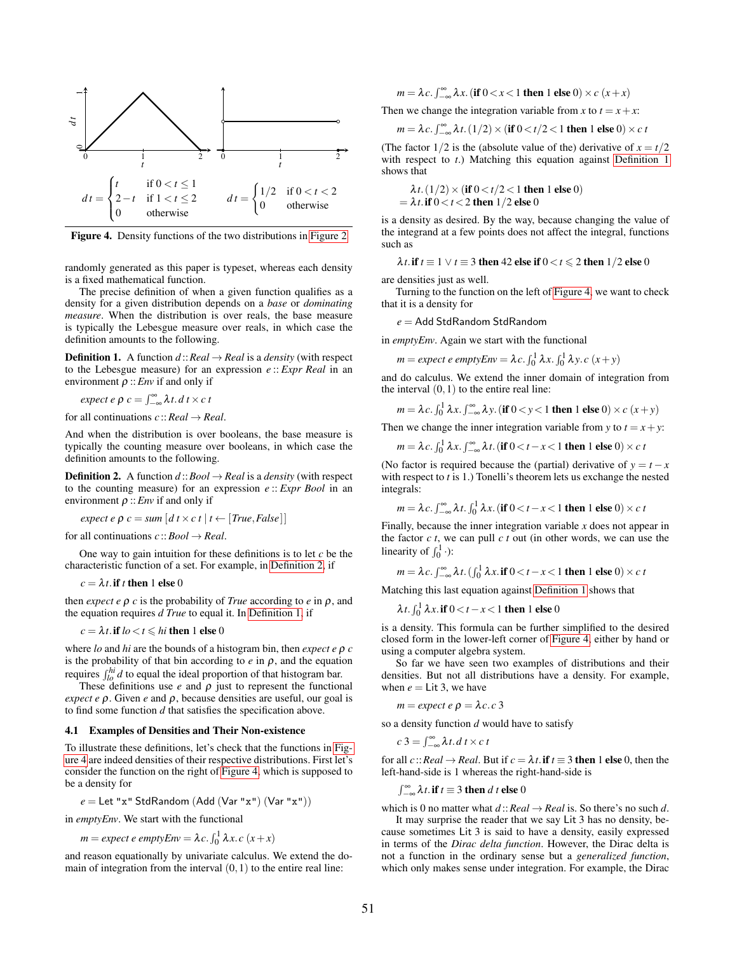

<span id="page-4-0"></span>Figure 4. Density functions of the two distributions in [Figure 2](#page-1-0)

randomly generated as this paper is typeset, whereas each density is a fixed mathematical function.

The precise definition of when a given function qualifies as a density for a given distribution depends on a *base* or *dominating measure*. When the distribution is over reals, the base measure is typically the Lebesgue measure over reals, in which case the definition amounts to the following.

<span id="page-4-2"></span>**Definition 1.** A function  $d$  :: *Real*  $\rightarrow$  *Real* is a *density* (with respect to the Lebesgue measure) for an expression *e* :: *Expr Real* in an environment ρ ::*Env* if and only if

$$
expect\ e\ \rho\ c = \int_{-\infty}^{\infty} \lambda\ t\ dt \times c\ t
$$

for all continuations *c* ::*Real* → *Real*.

And when the distribution is over booleans, the base measure is typically the counting measure over booleans, in which case the definition amounts to the following.

<span id="page-4-1"></span>**Definition 2.** A function  $d$  :: *Bool*  $\rightarrow$  *Real* is a *density* (with respect to the counting measure) for an expression *e* :: *Expr Bool* in an environment  $\rho$  :: *Env* if and only if

$$
expect\ e\ \rho\ c = sum\ [d\ t \times c\ t\ | \ t \leftarrow [True, False]\]
$$

for all continuations *c* ::*Bool* → *Real*.

One way to gain intuition for these definitions is to let *c* be the characteristic function of a set. For example, in [Definition 2,](#page-4-1) if

$$
c = \lambda t
$$
. if *t* then 1 else 0

then *expect e*  $\rho$  *c* is the probability of *True* according to *e* in  $\rho$ , and the equation requires *d True* to equal it. In [Definition 1,](#page-4-2) if

$$
c = \lambda t
$$
. if  $lo < t \leq h$  then 1 else 0

where *lo* and *hi* are the bounds of a histogram bin, then *expect e* ρ *c* is the probability of that bin according to  $e$  in  $\rho$ , and the equation requires  $\int_{l_0}^{h_i} d$  to equal the ideal proportion of that histogram bar.

These definitions use  $e$  and  $\rho$  just to represent the functional *expect e*  $\rho$ . Given *e* and  $\rho$ , because densities are useful, our goal is to find some function  $d$  that satisfies the specification above.

#### <span id="page-4-3"></span>4.1 Examples of Densities and Their Non-existence

To illustrate these definitions, let's check that the functions in [Fig](#page-4-0)[ure 4](#page-4-0) are indeed densities of their respective distributions. First let's consider the function on the right of [Figure 4,](#page-4-0) which is supposed to be a density for

$$
e = \text{Let "x" StdRandom (Add (Var "x") (Var "x"))}
$$

in *emptyEnv*. We start with the functional

 $m =$  *expect e emptyEnv* =  $\lambda c$ .  $\int_0^1 \lambda x \cdot c(x + x)$ 

and reason equationally by univariate calculus. We extend the domain of integration from the interval  $(0,1)$  to the entire real line:

$$
m = \lambda c. \int_{-\infty}^{\infty} \lambda x. \left( \textbf{if } 0 < x < 1 \textbf{ then } 1 \textbf{ else } 0 \right) \times c \left( x + x \right)
$$

Then we change the integration variable from *x* to  $t = x + x$ :

$$
m = \lambda c. \int_{-\infty}^{\infty} \lambda t. (1/2) \times (\textbf{if } 0 < t/2 < 1 \textbf{ then } 1 \textbf{ else } 0) \times c t
$$

(The factor  $1/2$  is the (absolute value of the) derivative of  $x = t/2$ with respect to *t*.) Matching this equation against [Definition 1](#page-4-2) shows that

$$
\lambda t. (1/2) \times (\text{if } 0 < t/2 < 1 \text{ then } 1 \text{ else } 0)
$$
  
=  $\lambda t. \text{ if } 0 < t < 2 \text{ then } 1/2 \text{ else } 0$ 

is a density as desired. By the way, because changing the value of the integrand at a few points does not affect the integral, functions such as

$$
\lambda t
$$
.**if**  $t \equiv 1 \vee t \equiv 3$  **then** 42 **else if**  $0 < t \le 2$  **then** 1/2 **else** 0

are densities just as well.

Turning to the function on the left of [Figure 4,](#page-4-0) we want to check that it is a density for

*e* = Add StdRandom StdRandom

in *emptyEnv*. Again we start with the functional

 $m =$  *expect e emptyEnv* =  $\lambda c$ .  $\int_0^1 \lambda x \cdot \int_0^1 \lambda y \cdot c(x + y)$ 

and do calculus. We extend the inner domain of integration from the interval  $(0,1)$  to the entire real line:

$$
m = \lambda c. \int_0^1 \lambda x. \int_{-\infty}^{\infty} \lambda y. \text{ (if } 0 < y < 1 \text{ then } 1 \text{ else } 0) \times c \text{ } (x + y)
$$

Then we change the inner integration variable from *y* to  $t = x + y$ :

$$
m = \lambda c. \int_0^1 \lambda x. \int_{-\infty}^{\infty} \lambda t. \left( \text{if } 0 < t - x < 1 \text{ then } 1 \text{ else } 0 \right) \times c t
$$

(No factor is required because the (partial) derivative of  $y = t - x$ with respect to *t* is 1.) Tonelli's theorem lets us exchange the nested integrals:

$$
m = \lambda c. \int_{-\infty}^{\infty} \lambda t. \int_{0}^{1} \lambda x. \left( \text{if } 0 < t - x < 1 \text{ then } 1 \text{ else } 0 \right) \times c t
$$

Finally, because the inner integration variable  $x$  does not appear in the factor *c t*, we can pull *c t* out (in other words, we can use the linearity of  $\int_0^1 \cdot$ ):

$$
m = \lambda c. \int_{-\infty}^{\infty} \lambda t. \left(\int_{0}^{1} \lambda x. \text{ if } 0 < t - x < 1 \text{ then } 1 \text{ else } 0\right) \times c t
$$

Matching this last equation against [Definition 1](#page-4-2) shows that

$$
\lambda t. \int_0^1 \lambda x. \text{ if } 0 < t - x < 1 \text{ then } 1 \text{ else } 0
$$

is a density. This formula can be further simplified to the desired closed form in the lower-left corner of [Figure 4,](#page-4-0) either by hand or using a computer algebra system.

So far we have seen two examples of distributions and their densities. But not all distributions have a density. For example, when  $e =$  Lit 3, we have

$$
m = expect\ e\ \rho = \lambda c.c\ 3
$$

so a density function *d* would have to satisfy

$$
c\,3 = \int_{-\infty}^{\infty} \lambda t \, dt \times c \, t
$$

for all *c* :: *Real*  $\rightarrow$  *Real*. But if *c* =  $\lambda t$ . **if**  $t \equiv 3$  **then** 1 **else** 0, then the left-hand-side is 1 whereas the right-hand-side is

$$
\int_{-\infty}^{\infty} \lambda t \cdot \textbf{if } t \equiv 3 \textbf{ then } d \textbf{ t} \textbf{ else } 0
$$

which is 0 no matter what  $d$  ::  $Real \rightarrow Real$  is. So there's no such  $d$ .

It may surprise the reader that we say Lit 3 has no density, because sometimes Lit 3 is said to have a density, easily expressed in terms of the *Dirac delta function*. However, the Dirac delta is not a function in the ordinary sense but a *generalized function*, which only makes sense under integration. For example, the Dirac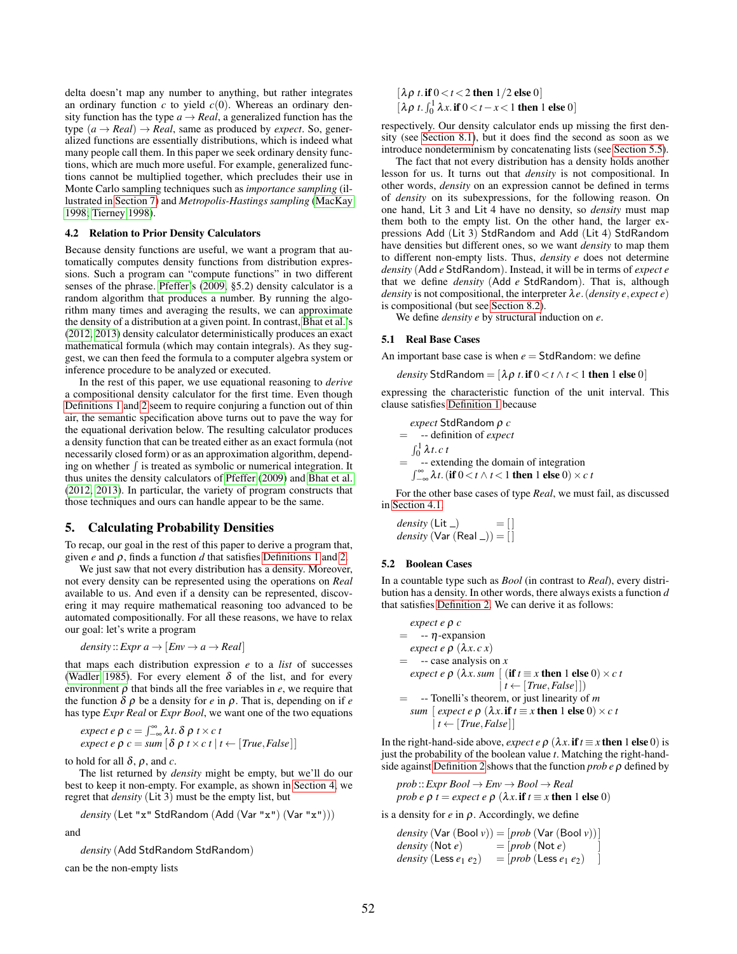delta doesn't map any number to anything, but rather integrates an ordinary function  $c$  to yield  $c(0)$ . Whereas an ordinary density function has the type  $a \rightarrow Real$ , a generalized function has the type  $(a \rightarrow Real) \rightarrow Real$ , same as produced by *expect*. So, generalized functions are essentially distributions, which is indeed what many people call them. In this paper we seek ordinary density functions, which are much more useful. For example, generalized functions cannot be multiplied together, which precludes their use in Monte Carlo sampling techniques such as *importance sampling* (illustrated in [Section 7\)](#page-8-0) and *Metropolis-Hastings sampling* [\(MacKay](#page-11-8) [1998;](#page-11-8) [Tierney 1998\)](#page-11-9).

## 4.2 Relation to Prior Density Calculators

Because density functions are useful, we want a program that automatically computes density functions from distribution expressions. Such a program can "compute functions" in two different senses of the phrase. [Pfeffer'](#page-11-10)s [\(2009,](#page-11-10) §5.2) density calculator is a random algorithm that produces a number. By running the algorithm many times and averaging the results, we can approximate the density of a distribution at a given point. In contrast, [Bhat et al.'](#page-11-11)s [\(2012,](#page-11-11) [2013\)](#page-11-12) density calculator deterministically produces an exact mathematical formula (which may contain integrals). As they suggest, we can then feed the formula to a computer algebra system or inference procedure to be analyzed or executed.

In the rest of this paper, we use equational reasoning to *derive* a compositional density calculator for the first time. Even though [Definitions 1](#page-4-2) and [2](#page-4-1) seem to require conjuring a function out of thin air, the semantic specification above turns out to pave the way for the equational derivation below. The resulting calculator produces a density function that can be treated either as an exact formula (not necessarily closed form) or as an approximation algorithm, depending on whether  $\int$  is treated as symbolic or numerical integration. It thus unites the density calculators of [Pfeffer](#page-11-10) [\(2009\)](#page-11-10) and [Bhat et al.](#page-11-11) [\(2012,](#page-11-11) [2013\)](#page-11-12). In particular, the variety of program constructs that those techniques and ours can handle appear to be the same.

# <span id="page-5-0"></span>5. Calculating Probability Densities

To recap, our goal in the rest of this paper to derive a program that, given  $e$  and  $\rho$ , finds a function  $d$  that satisfies [Definitions 1](#page-4-2) and [2.](#page-4-1)

We just saw that not every distribution has a density. Moreover, not every density can be represented using the operations on *Real* available to us. And even if a density can be represented, discovering it may require mathematical reasoning too advanced to be automated compositionally. For all these reasons, we have to relax our goal: let's write a program

*density* :: *Expr a*  $\rightarrow$  *[Env*  $\rightarrow$  *a*  $\rightarrow$  *Real*]

that maps each distribution expression *e* to a *list* of successes [\(Wadler 1985\)](#page-11-13). For every element  $\delta$  of the list, and for every environment  $\rho$  that binds all the free variables in  $e$ , we require that the function  $\delta \rho$  be a density for *e* in  $\rho$ . That is, depending on if *e* has type *Expr Real* or *Expr Bool*, we want one of the two equations

$$
expect\ e\ \rho\ c = \int_{-\infty}^{\infty} \lambda t.\delta\ \rho\ t \times c\ t
$$
  
expect\ e\ \rho\ c = sum\ [\delta\ \rho\ t \times c\ t\ ]\ t \leftarrow [True, False]]

to hold for all  $\delta$ ,  $\rho$ , and *c*.

The list returned by *density* might be empty, but we'll do our best to keep it non-empty. For example, as shown in [Section 4,](#page-3-1) we regret that *density* (Lit 3) must be the empty list, but

*density* (Let "x" StdRandom (Add (Var "x") (Var "x")))

and

*density* (Add StdRandom StdRandom)

can be the non-empty lists

 $[\lambda \rho t$ .if  $0 < t < 2$  then  $1/2$  else  $0]$  $[\lambda \rho t \cdot \int_0^1 \lambda x \cdot \textbf{if } 0 < t - x < 1 \text{ then } 1 \text{ else } 0]$ 

respectively. Our density calculator ends up missing the first density (see [Section 8.1\)](#page-9-0), but it does find the second as soon as we introduce nondeterminism by concatenating lists (see [Section 5.5\)](#page-7-0).

The fact that not every distribution has a density holds another lesson for us. It turns out that *density* is not compositional. In other words, *density* on an expression cannot be defined in terms of *density* on its subexpressions, for the following reason. On one hand, Lit 3 and Lit 4 have no density, so *density* must map them both to the empty list. On the other hand, the larger expressions Add (Lit 3) StdRandom and Add (Lit 4) StdRandom have densities but different ones, so we want *density* to map them to different non-empty lists. Thus, *density e* does not determine *density* (Add *e* StdRandom). Instead, it will be in terms of *expect e* that we define *density* (Add *e* StdRandom). That is, although *density* is not compositional, the interpreter  $\lambda e$ . (*density e*, *expect e*) is compositional (but see [Section 8.2\)](#page-10-0).

We define *density e* by structural induction on *e*.

## <span id="page-5-1"></span>5.1 Real Base Cases

An important base case is when  $e = \mathsf{StdRandom}$ : we define

*density* StdRandom =  $[\lambda \rho t$ . if  $0 < t \wedge t < 1$  then 1 else 0]

expressing the characteristic function of the unit interval. This clause satisfies [Definition 1](#page-4-2) because

*expect* StdRandom ρ *c* = -- definition of *expect*  $\int_0^1$ λ*t*. *c t*  $=$  -- extending the domain of integration  $\int_{-\infty}^{\infty} \lambda t$ . (if  $0 < t \wedge t < 1$  then 1 else 0) × *c t* 

For the other base cases of type *Real*, we must fail, as discussed in [Section 4.1.](#page-4-3)

 $density(Lit_{})$  = [] *density*  $(Var (Real_)) = []$ 

# 5.2 Boolean Cases

In a countable type such as *Bool* (in contrast to *Real*), every distribution has a density. In other words, there always exists a function *d* that satisfies [Definition 2.](#page-4-1) We can derive it as follows:

*expect e* ρ *c*  $=$  --  $\eta$ -expansion *expect e* ρ (λ*x*. *c x*)  $=$  -- case analysis on  $\dot{x}$ *expect e*  $\rho$  ( $\lambda x$ *. sum* [ (if  $t \equiv x$  then 1 else 0)  $\times c$  *t*  $| t \leftarrow [True, False]$ = -- Tonelli's theorem, or just linearity of *m sum*  $\left[ \text{ expect } e \rho \ (\lambda x. \text{ if } t \equiv x \text{ then } 1 \text{ else } 0) \times c \text{ } t \right]$  $| t \leftarrow [True, False]$ 

In the right-hand-side above, *expect e*  $\rho$  ( $\lambda x$ . if  $t \equiv x$  then 1 else 0) is just the probability of the boolean value *t*. Matching the right-handside against [Definition 2](#page-4-1) shows that the function *prob e* ρ defined by

 $prob :: Expr \, Bool \rightarrow Env \rightarrow Bool \rightarrow Real$ *prob e*  $\rho$  *t* = *expect e*  $\rho$  ( $\lambda x$ . **if** *t*  $\equiv x$  **then** 1 **else** 0)

is a density for  $e$  in  $\rho$ . Accordingly, we define

*density*  $(Var (Bool v)) = [prob (Var (Bool v))]$ *density* (Not *e*)  $= [prob (Not *e*)]$ *density* (Less  $e_1 e_2$ ) = [*prob* (Less  $e_1 e_2$ )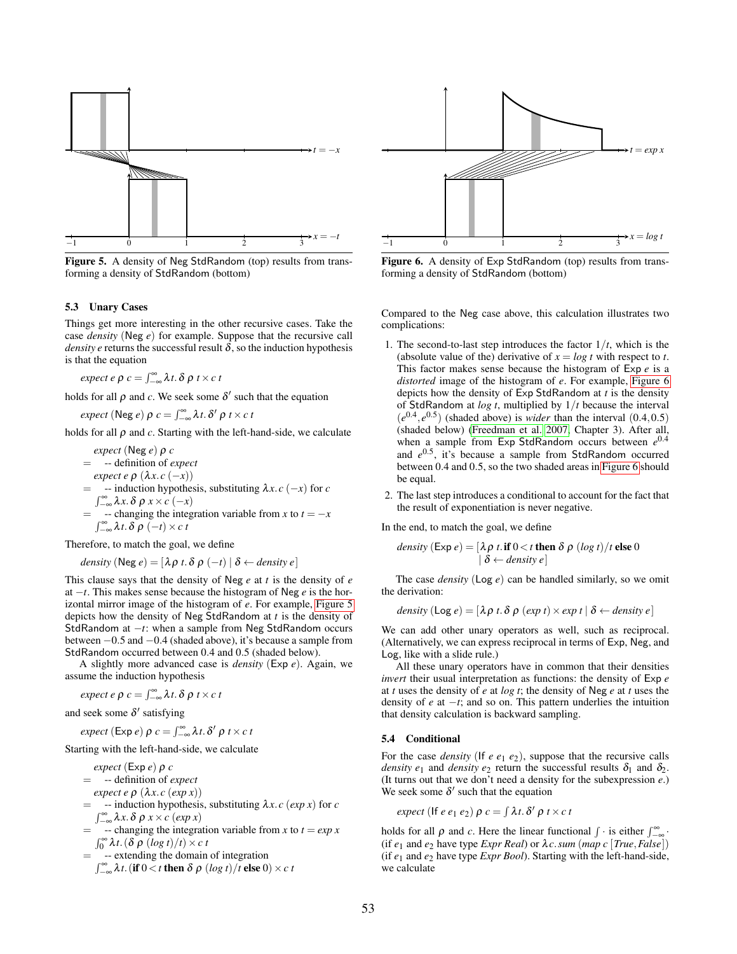

<span id="page-6-0"></span>Figure 5. A density of Neg StdRandom (top) results from transforming a density of StdRandom (bottom)

#### <span id="page-6-2"></span>5.3 Unary Cases

Things get more interesting in the other recursive cases. Take the case *density* (Neg *e*) for example. Suppose that the recursive call *density e* returns the successful result  $\delta$ , so the induction hypothesis is that the equation

$$
expect\ e\ \rho\ c = \int_{-\infty}^{\infty} \lambda\ t.\ \delta\ \rho\ t \times c\ t
$$

holds for all  $\rho$  and *c*. We seek some  $\delta'$  such that the equation

 $\rho$  $c = \int_{-\infty}^{\infty} \lambda t \cdot \delta'$  $\rho$  $t \times c$  *t* 

holds for all  $\rho$  and  $c$ . Starting with the left-hand-side, we calculate

*expect* (Neg *e*) ρ *c* = -- definition of *expect expect e*  $\rho$  ( $\lambda x$ *. c* (−*x*))  $=$  -- induction hypothesis, substituting  $\lambda x$ . *c* (−*x*) for *c*  $\int_{-\infty}^{\infty}$ λ*x*.δρ *x* × *c* (−*x*)  $J_{-\infty}$   $\lambda x.$   $\theta$   $\mu$   $\times$   $c$   $(-x)$ <br>= -- changing the integration variable from *x* to  $t = -x$  $\int_{-\infty}^{\infty} \lambda t \cdot \delta \rho(-t) \times c t$ 

Therefore, to match the goal, we define

*density* (Neg *e*) =  $[\lambda \rho t. \delta \rho (-t) | \delta \leftarrow density e]$ 

This clause says that the density of Neg *e* at *t* is the density of *e* at −*t*. This makes sense because the histogram of Neg *e* is the horizontal mirror image of the histogram of *e*. For example, [Figure 5](#page-6-0) depicts how the density of Neg StdRandom at *t* is the density of StdRandom at −*t*: when a sample from Neg StdRandom occurs between −0.5 and −0.4 (shaded above), it's because a sample from StdRandom occurred between 0.4 and 0.5 (shaded below).

A slightly more advanced case is *density* (Exp *e*). Again, we assume the induction hypothesis

$$
expect\ e\ \rho\ c = \int_{-\infty}^{\infty} \lambda\ t\ \delta\ \rho\ t \times c\ t
$$

and seek some  $\delta'$  satisfying

$$
expect (Exp e) \rho c = \int_{-\infty}^{\infty} \lambda t. \delta' \rho t \times c t
$$

Starting with the left-hand-side, we calculate

*expect* (Exp *e*) ρ *c* = -- definition of *expect*

- *expect e* ρ (λ*x*. *c* (*exp x*))
- $=$  -- induction hypothesis, substituting  $\lambda x$ . *c* (*exp x*) for *c* R ∞ −∞ λ*x*.δ ρ *x*×*c* (*exp x*)
- $=$  -- changing the integration variable from *x* to  $t = exp x$  $\int_0^\infty \lambda t \cdot (\delta \rho (\log t)/t) \times c t$
- = extending the domain of integration
- $\int_{-\infty}^{\infty} \lambda t$ . (if  $0 < t$  then  $\delta \rho (\log t) / t$  else  $0) \times c t$



<span id="page-6-1"></span>Figure 6. A density of Exp StdRandom (top) results from transforming a density of StdRandom (bottom)

Compared to the Neg case above, this calculation illustrates two complications:

- 1. The second-to-last step introduces the factor  $1/t$ , which is the (absolute value of the) derivative of  $x = \log t$  with respect to *t*. This factor makes sense because the histogram of Exp *e* is a *distorted* image of the histogram of *e*. For example, [Figure 6](#page-6-1) depicts how the density of Exp StdRandom at *t* is the density of StdRandom at *log t*, multiplied by 1/*t* because the interval  $(e^{0.4}, e^{0.5})$  (shaded above) is *wider* than the interval  $(0.4, 0.5)$ (shaded below) [\(Freedman et al. 2007,](#page-11-14) Chapter 3). After all, when a sample from Exp StdRandom occurs between *e* 0.4 and *e* 0.5 , it's because a sample from StdRandom occurred between 0.4 and 0.5, so the two shaded areas in [Figure 6](#page-6-1) should be equal.
- 2. The last step introduces a conditional to account for the fact that the result of exponentiation is never negative.

In the end, to match the goal, we define

$$
density (\text{Exp } e) = [\lambda \rho t. \text{if } 0 < t \text{ then } \delta \rho (\log t) / t \text{ else } 0
$$
  
 
$$
\delta \leftarrow density e]
$$

The case *density* (Log *e*) can be handled similarly, so we omit the derivation:

$$
density (Log e) = [\lambda \rho t. \delta \rho (exp t) \times exp t | \delta \leftarrow density e]
$$

We can add other unary operators as well, such as reciprocal. (Alternatively, we can express reciprocal in terms of Exp, Neg, and Log, like with a slide rule.)

All these unary operators have in common that their densities *invert* their usual interpretation as functions: the density of Exp *e* at *t* uses the density of *e* at *log t*; the density of Neg *e* at *t* uses the density of *e* at −*t*; and so on. This pattern underlies the intuition that density calculation is backward sampling.

#### 5.4 Conditional

For the case *density* (If  $e e_1 e_2$ ), suppose that the recursive calls *density e*<sub>1</sub> and *density e*<sub>2</sub> return the successful results  $\delta_1$  and  $\delta_2$ . (It turns out that we don't need a density for the subexpression *e*.) We seek some  $\delta'$  such that the equation

*expect* (If *e e*<sub>1</sub> *e*<sub>2</sub>)  $\rho$  *c* =  $\int \lambda t \cdot \delta' \rho$  *t* × *c t* 

holds for all  $\rho$  and *c*. Here the linear functional  $\int \cdot$  is either  $\int_{-\infty}^{\infty}$ find *f* or an *p* and *c*. Here the linear functional *j* · is ettner  $J_{-\infty}$ <sup>c</sup> (if  $e_1$  and  $e_2$  have type *Expr Real*) or  $\lambda c$ . *sum* (*map c* [*True*, *False*]) · (if *e*<sup>1</sup> and *e*<sup>2</sup> have type *Expr Bool*). Starting with the left-hand-side, we calculate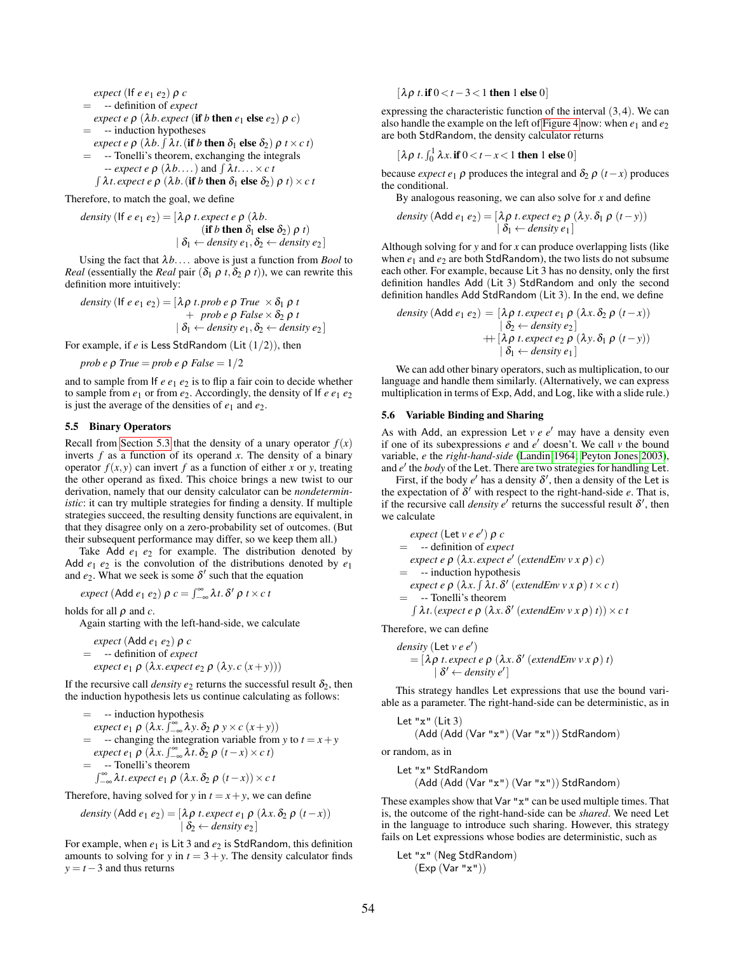*expect* (If *e e*<sup>1</sup> *e*2) ρ *c* = -- definition of *expect expect e* ρ (λ*b*. *expect* (if *b* then *e*<sup>1</sup> else *e*2) ρ *c*) = -- induction hypotheses *expect e* ρ (λ*b*. R λ*t*.(if *b* then δ<sup>1</sup> else δ2) ρ *t* ×*c t*) = -- Tonelli's theorem, exchanging the integrals -- *expect e* ρ (λ*b*....) and R λ*t*....×*c t* R λ*t*. *expect e* ρ (λ*b*.(if *b* then δ<sup>1</sup> else δ2) ρ *t*)×*c t*

Therefore, to match the goal, we define

density (If 
$$
e e_1 e_2
$$
) = [ $\lambda \rho$  *t*.  
\n**(if** *b* **then**  $\delta_1$  **else**  $\delta_2$ )  $\rho$  *t*)  
\n| $\delta_1 \leftarrow$  density  $e_1, \delta_2 \leftarrow$  density  $e_2$ ]

Using the fact that  $\lambda b$ .... above is just a function from *Bool* to *Real* (essentially the *Real* pair  $(\delta_1 \rho t, \delta_2 \rho t)$ ), we can rewrite this definition more intuitively:

$$
density (\text{If } e e_1 e_2) = [\lambda \rho \text{ } t \text{. prob } e \text{ } \rho \text{ } True \times \delta_1 \text{ } \rho \text{ } t\n+ prob e \text{ } \rho \text{ } False \times \delta_2 \text{ } \rho \text{ } t\n|\delta_1 \leftarrow density e_1, \delta_2 \leftarrow density e_2]
$$

For example, if *e* is Less StdRandom (Lit (1/2)), then

$$
prob e \rho True = prob e \rho False = 1/2
$$

and to sample from If  $e e_1 e_2$  is to flip a fair coin to decide whether to sample from  $e_1$  or from  $e_2$ . Accordingly, the density of If  $e e_1 e_2$ is just the average of the densities of *e*<sup>1</sup> and *e*2.

#### <span id="page-7-0"></span>5.5 Binary Operators

Recall from [Section 5.3](#page-6-2) that the density of a unary operator  $f(x)$ inverts *f* as a function of its operand *x*. The density of a binary operator  $f(x, y)$  can invert f as a function of either x or y, treating the other operand as fixed. This choice brings a new twist to our derivation, namely that our density calculator can be *nondeterministic*: it can try multiple strategies for finding a density. If multiple strategies succeed, the resulting density functions are equivalent, in that they disagree only on a zero-probability set of outcomes. (But their subsequent performance may differ, so we keep them all.)

Take Add  $e_1$   $e_2$  for example. The distribution denoted by Add  $e_1$   $e_2$  is the convolution of the distributions denoted by  $e_1$ and  $e_2$ . What we seek is some  $\delta'$  such that the equation

$$
expect (Add e_1 e_2) \rho c = \int_{-\infty}^{\infty} \lambda t. \delta' \rho t \times ct
$$

holds for all ρ and *c*.

Again starting with the left-hand-side, we calculate

*expect* (Add *e*<sup>1</sup> *e*2) ρ *c* = -- definition of *expect expect e*<sub>1</sub>  $\rho$  ( $\lambda x$ *. expect e*<sub>2</sub>  $\rho$  ( $\lambda y$ *. c* ( $x$ +*y*)))

If the recursive call *density e*<sub>2</sub> returns the successful result  $\delta_2$ , then the induction hypothesis lets us continue calculating as follows:

$$
= -induction hypothesis
$$
  
\n*expect e*<sub>1</sub> *ρ* (*λx*.  $\int_{-\infty}^{\infty} λy$ . *δ*<sub>2</sub> *ρ y* × *c* (*x* + *y*))  
\n= -**changing the integration variable from y to** *t* = *x* + *y*  
\n*expect e*<sub>1</sub> *ρ* (*λx*.  $\int_{-\infty}^{\infty} λt$ . *δ*<sub>2</sub> *ρ* (*t* − *x*) × *c t*)  
\n= -**Then**  $\int_{-\infty}^{\infty} λt$ . *expect e*<sub>1</sub> *ρ* (*λx*. *δ*<sub>2</sub> *ρ* (*t* − *x*)) × *c t*

Therefore, having solved for *y* in  $t = x + y$ , we can define

$$
density (Add e1 e2) = [\lambda \rho t. expect e1 \rho (\lambda x. \delta2 \rho (t - x)) | \delta2 \leftarrow density e2]
$$

For example, when  $e_1$  is Lit 3 and  $e_2$  is StdRandom, this definition amounts to solving for *y* in  $t = 3 + y$ . The density calculator finds  $y = t - 3$  and thus returns

## $[\lambda \rho t$ .if  $0 < t - 3 < 1$  then 1 else 0]

expressing the characteristic function of the interval (3,4). We can also handle the example on the left of [Figure 4](#page-4-0) now: when  $e_1$  and  $e_2$ are both StdRandom, the density calculator returns

$$
[\lambda \rho t. \int_0^1 \lambda x. \text{ if } 0 < t - x < 1 \text{ then } 1 \text{ else } 0]
$$

because *expect*  $e_1$   $ρ$  produces the integral and  $\delta_2$   $ρ$   $(t-x)$  produces the conditional.

By analogous reasoning, we can also solve for *x* and define

$$
density (Add e_1 e_2) = [\lambda \rho t. expect e_2 \rho (\lambda y. \delta_1 \rho (t - y))
$$
  
 
$$
\mid \delta_1 \leftarrow density e_1]
$$

Although solving for *y* and for *x* can produce overlapping lists (like when  $e_1$  and  $e_2$  are both StdRandom), the two lists do not subsume each other. For example, because Lit 3 has no density, only the first definition handles Add (Lit 3) StdRandom and only the second definition handles Add StdRandom (Lit 3). In the end, we define

density (Add 
$$
e_1 e_2
$$
) =  $[\lambda \rho t$ .*expect*  $e_1 \rho$  ( $\lambda x$ . $\delta_2 \rho$  ( $t-x$ ))  
\n $\qquad \qquad [\delta_2 \leftarrow density e_2]$   
\n $\qquad \qquad + [\lambda \rho t$ .*expect*  $e_2 \rho$  ( $\lambda y$ . $\delta_1 \rho$  ( $t-y$ ))  
\n $\qquad \qquad [\delta_1 \leftarrow density e_1]$ 

We can add other binary operators, such as multiplication, to our language and handle them similarly. (Alternatively, we can express multiplication in terms of Exp, Add, and Log, like with a slide rule.)

## <span id="page-7-1"></span>5.6 Variable Binding and Sharing

As with Add, an expression Let *v e e'* may have a density even if one of its subexpressions  $e$  and  $e'$  doesn't. We call  $v$  the bound variable, *e* the *right-hand-side* [\(Landin 1964;](#page-11-15) [Peyton Jones 2003\)](#page-11-16), and *e'* the *body* of the Let. There are two strategies for handling Let.

First, if the body  $e'$  has a density  $\delta'$ , then a density of the Let is the expectation of  $\delta'$  with respect to the right-hand-side  $e$ . That is, if the recursive call *density*  $e^{\prime}$  returns the successful result  $\delta'$ , then we calculate

$$
expect (Let v e e') ρ c
$$
\n= - definition of *expect*  
\n=  $-\text{definition of expect}$   
\nexpect e ρ (λx. expect e' (extendEnv v x ρ) c)  
\n= - induction hypothesis  
\nexpect e ρ (λx. ∫ λt. δ' (extendEnv v x ρ) t × c t)  
\n= - Tonelli's theorem  
\n∫ λt. (expect e ρ (λx. δ' (extendEnv v x ρ) t)) × c t

Therefore, we can define

$$
density (Let v e e')=[\lambda \rho t. expect e \rho (\lambda x. \delta' (extendEnv v x \rho) t)|\delta' \leftarrow density e']
$$

This strategy handles Let expressions that use the bound variable as a parameter. The right-hand-side can be deterministic, as in

$$
\begin{array}{c} \text{Let } "x" \text{ (Lit 3)} \\ \text{(Add (Add (Var "x") (Var "x"))) StdRandom)} \end{array}
$$

or random, as in

Let "x" StdRandom

(Add (Add (Var "x") (Var "x")) StdRandom)

These examples show that Var "x" can be used multiple times. That is, the outcome of the right-hand-side can be *shared*. We need Let in the language to introduce such sharing. However, this strategy fails on Let expressions whose bodies are deterministic, such as

Let "
$$
x
$$
" (Neg StdRandom)  $(Exp (Var "x"))$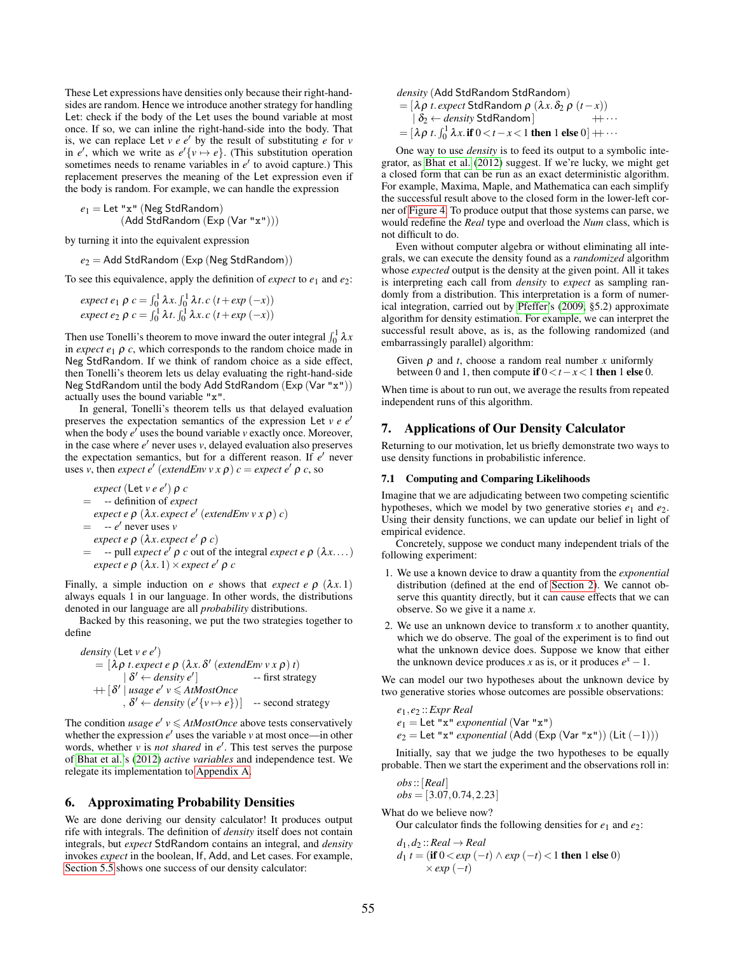These Let expressions have densities only because their right-handsides are random. Hence we introduce another strategy for handling Let: check if the body of the Let uses the bound variable at most once. If so, we can inline the right-hand-side into the body. That is, we can replace Let  $v e e'$  by the result of substituting  $e$  for  $v$ in *e'*, which we write as  $e'$ { $v \mapsto e$ }. (This substitution operation sometimes needs to rename variables in  $e'$  to avoid capture.) This replacement preserves the meaning of the Let expression even if the body is random. For example, we can handle the expression

$$
e_1 = \text{Let "x" (Neg StdRandom)}
$$
  
(Add StdRandom (Exp (Var "x")))

by turning it into the equivalent expression

*e*<sup>2</sup> = Add StdRandom (Exp (Neg StdRandom))

To see this equivalence, apply the definition of *expect* to  $e_1$  and  $e_2$ :

$$
expect\ e_1 \ \rho \ c = \int_0^1 \lambda x \cdot \int_0^1 \lambda t \cdot c \ (t + exp\ (-x))
$$
  
expect\ e\_2 \ \rho \ c = \int\_0^1 \lambda t \cdot \int\_0^1 \lambda x \cdot c \ (t + exp\ (-x))

Then use Tonelli's theorem to move inward the outer integral  $\int_0^1 \lambda x$ in *expect e*<sub>1</sub>  $\rho$  *c*, which corresponds to the random choice made in Neg StdRandom. If we think of random choice as a side effect, then Tonelli's theorem lets us delay evaluating the right-hand-side Neg StdRandom until the body Add StdRandom (Exp (Var "x")) actually uses the bound variable "x".

In general, Tonelli's theorem tells us that delayed evaluation preserves the expectation semantics of the expression Let  $v e e'$ when the body  $e^{t}$  uses the bound variable  $v$  exactly once. Moreover, in the case where  $e'$  never uses  $v$ , delayed evaluation also preserves the expectation semantics, but for a different reason. If  $e'$  never uses *v*, then *expect e'* (*extendEnv v x*  $\rho$ )  $c =$  *expect e'*  $\rho$  *c*, so

$$
expect (Let v e e')  $\rho c$   
= - definition of *expect*  
expect *e*  $\rho$  ( $\lambda x$ . *expect e'* (*extendEnv v x*  $\rho$ ) *c*)  
= -*e'* never uses *v*  
expect *e*  $\rho$  ( $\lambda x$ . *expect e'*  $\rho c$ )  
= - pull *expect e'*  $\rho$  *c* out of the integral *expect e*  $\rho$  ( $\lambda x$ ...)  
*expect e*  $\rho$  ( $\lambda x$ .1) × *expect e'*  $\rho$  *c*
$$

Finally, a simple induction on *e* shows that *expect e*  $\rho$  ( $\lambda x.1$ ) always equals 1 in our language. In other words, the distributions denoted in our language are all *probability* distributions.

Backed by this reasoning, we put the two strategies together to define

density (Let 
$$
v e e')
$$
  
\n
$$
= [\lambda \rho t. expect e \rho (\lambda x. \delta' (extendEnv v x \rho) t)
$$
\n
$$
[ \delta' \leftarrow density e'] \qquad -- first strategy
$$
\n
$$
+ [\delta' | usage e' v \leq AtMostOnce
$$
\n
$$
, \delta' \leftarrow density (e'\{v \rightarrow e\})] \qquad -- second strategy
$$

The condition *usage e'*  $v \leq AtMostOnce$  above tests conservatively whether the expression  $e'$  uses the variable  $v$  at most once—in other words, whether  $v$  is *not shared* in  $e'$ . This test serves the purpose of [Bhat et al.'](#page-11-11)s [\(2012\)](#page-11-11) *active variables* and independence test. We relegate its implementation to [Appendix A.](#page-11-17)

## 6. Approximating Probability Densities

We are done deriving our density calculator! It produces output rife with integrals. The definition of *density* itself does not contain integrals, but *expect* StdRandom contains an integral, and *density* invokes *expect* in the boolean, If, Add, and Let cases. For example, [Section 5.5](#page-7-0) shows one success of our density calculator:

*density* (Add StdRandom StdRandom)

$$
= [\lambda \rho \ t.\mathit{expect} \ \mathsf{StdRandom} \ \rho \ (\lambda x.\,\delta_2 \ \rho \ (t-x)) \\ |\ \delta_2 \leftarrow \mathit{density} \ \mathsf{StdRandom}]\qquad \qquad ++\cdots
$$

$$
= [\lambda \rho \ t \tcdot \int_0^1 \lambda x \ \text{if} \ 0 < t - x < 1 \ \text{then} \ 1 \ \text{else} \ 0] + \cdots
$$

One way to use *density* is to feed its output to a symbolic integrator, as [Bhat et al.](#page-11-11) [\(2012\)](#page-11-11) suggest. If we're lucky, we might get a closed form that can be run as an exact deterministic algorithm. For example, Maxima, Maple, and Mathematica can each simplify the successful result above to the closed form in the lower-left corner of [Figure 4.](#page-4-0) To produce output that those systems can parse, we would redefine the *Real* type and overload the *Num* class, which is not difficult to do.

Even without computer algebra or without eliminating all integrals, we can execute the density found as a *randomized* algorithm whose *expected* output is the density at the given point. All it takes is interpreting each call from *density* to *expect* as sampling randomly from a distribution. This interpretation is a form of numerical integration, carried out by [Pfeffer'](#page-11-10)s [\(2009,](#page-11-10) §5.2) approximate algorithm for density estimation. For example, we can interpret the successful result above, as is, as the following randomized (and embarrassingly parallel) algorithm:

Given  $\rho$  and *t*, choose a random real number *x* uniformly between 0 and 1, then compute if  $0 < t - x < 1$  then 1 else 0.

When time is about to run out, we average the results from repeated independent runs of this algorithm.

## <span id="page-8-0"></span>7. Applications of Our Density Calculator

Returning to our motivation, let us briefly demonstrate two ways to use density functions in probabilistic inference.

#### 7.1 Computing and Comparing Likelihoods

Imagine that we are adjudicating between two competing scientific hypotheses, which we model by two generative stories  $e_1$  and  $e_2$ . Using their density functions, we can update our belief in light of empirical evidence.

Concretely, suppose we conduct many independent trials of the following experiment:

- 1. We use a known device to draw a quantity from the *exponential* distribution (defined at the end of [Section 2\)](#page-1-0). We cannot observe this quantity directly, but it can cause effects that we can observe. So we give it a name *x*.
- 2. We use an unknown device to transform  $x$  to another quantity, which we do observe. The goal of the experiment is to find out what the unknown device does. Suppose we know that either the unknown device produces *x* as is, or it produces  $e^x - 1$ .

We can model our two hypotheses about the unknown device by two generative stories whose outcomes are possible observations:

$$
e_1, e_2::\text{Expr Real}
$$
  
\n $e_1 = \text{Let "x" exponential (Var "x")}$   
\n $e_2 = \text{Let "x" exponential (Add (Exp (Var "x")) (Lit (-1)))}$ 

Initially, say that we judge the two hypotheses to be equally probable. Then we start the experiment and the observations roll in:

$$
obs::[Real] obs = [3.07, 0.74, 2.23]
$$

What do we believe now?

Our calculator finds the following densities for *e*<sup>1</sup> and *e*2:

$$
d_1, d_2 :: Real \rightarrow Real
$$
  
\n
$$
d_1 t = (\text{if } 0 < exp(-t) \land exp(-t) < 1 \text{ then } 1 \text{ else } 0)
$$
  
\n
$$
\times exp(-t)
$$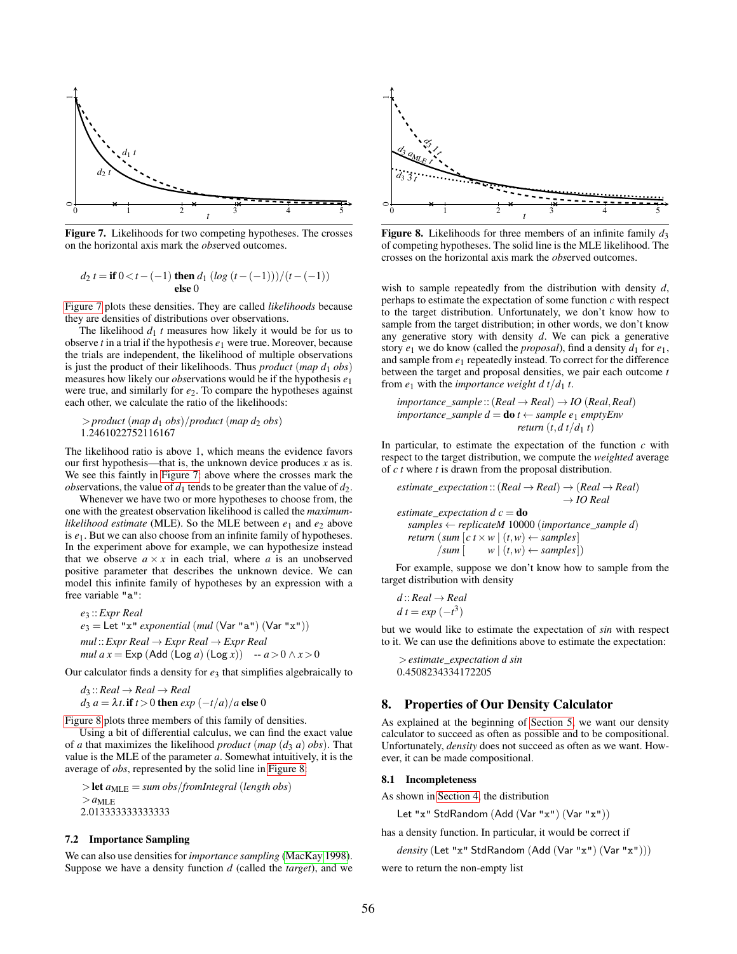

<span id="page-9-1"></span>Figure 7. Likelihoods for two competing hypotheses. The crosses on the horizontal axis mark the *obs*erved outcomes.

$$
d_2 t = \textbf{if } 0 < t - (-1) \textbf{ then } d_1 \left( \log \left( t - (-1) \right) \right) / (t - (-1))
$$
\nelse 0

[Figure 7](#page-9-1) plots these densities. They are called *likelihoods* because they are densities of distributions over observations.

The likelihood  $d_1$  *t* measures how likely it would be for us to observe  $t$  in a trial if the hypothesis  $e_1$  were true. Moreover, because the trials are independent, the likelihood of multiple observations is just the product of their likelihoods. Thus *product* (*map d*<sub>1</sub> *obs*) measures how likely our *obs*ervations would be if the hypothesis *e*<sup>1</sup> were true, and similarly for  $e_2$ . To compare the hypotheses against each other, we calculate the ratio of the likelihoods:

 $>$ *product* (*map d*<sub>1</sub> *obs*)/*product* (*map d*<sub>2</sub> *obs*) 1.2461022752116167

The likelihood ratio is above 1, which means the evidence favors our first hypothesis—that is, the unknown device produces *x* as is. We see this faintly in [Figure 7:](#page-9-1) above where the crosses mark the *observations, the value of*  $d_1$  *tends to be greater than the value of*  $d_2$ *.* 

Whenever we have two or more hypotheses to choose from, the one with the greatest observation likelihood is called the *maximumlikelihood estimate* (MLE). So the MLE between  $e_1$  and  $e_2$  above is *e*1. But we can also choose from an infinite family of hypotheses. In the experiment above for example, we can hypothesize instead that we observe  $a \times x$  in each trial, where *a* is an unobserved positive parameter that describes the unknown device. We can model this infinite family of hypotheses by an expression with a free variable "a":

$$
e_3
$$
 :: *Expr Real*  
\n $e_3 =$  Let " $x$ " *exponential* (*mul* ( $\forall$ ar " $a$ ") ( $\forall$ ar " $x$ ")  
\n*mul* :: *Expr Real*  $\rightarrow$  *Expr Real*  $\rightarrow$  *Expr Real*  
\n*mul a x* =  $\text{Exp}$  ( $\text{Add} (\text{Log } a) (\text{Log } x)$ )  $\rightarrow$   $a > 0 \land x > 0$ 

Our calculator finds a density for *e*<sup>3</sup> that simplifies algebraically to

$$
d_3 :: Real \rightarrow Real \rightarrow Real
$$
  

$$
d_3 a = \lambda t .
$$
if  $t > 0$  then  $exp(-t/a)/a$  else 0

[Figure 8](#page-9-2) plots three members of this family of densities.

Using a bit of differential calculus, we can find the exact value of *a* that maximizes the likelihood *product* (*map*  $(d_3 a)$  *obs*). That value is the MLE of the parameter *a*. Somewhat intuitively, it is the average of *obs*, represented by the solid line in [Figure 8:](#page-9-2)

 $>$ **let**  $a_{MLE}$  = *sum obs/fromIntegral* (*length obs*)  $> a_{MLE}$ 2.013333333333333

## 7.2 Importance Sampling

We can also use densities for *importance sampling* [\(MacKay 1998\)](#page-11-8). Suppose we have a density function *d* (called the *target*), and we



<span id="page-9-2"></span>Figure 8. Likelihoods for three members of an infinite family  $d_3$ of competing hypotheses. The solid line is the MLE likelihood. The crosses on the horizontal axis mark the *obs*erved outcomes.

wish to sample repeatedly from the distribution with density *d*, perhaps to estimate the expectation of some function *c* with respect to the target distribution. Unfortunately, we don't know how to sample from the target distribution; in other words, we don't know any generative story with density *d*. We can pick a generative story  $e_1$  we do know (called the *proposal*), find a density  $d_1$  for  $e_1$ , and sample from *e*<sup>1</sup> repeatedly instead. To correct for the difference between the target and proposal densities, we pair each outcome *t* from  $e_1$  with the *importance weight d t/d<sub>1</sub> t.* 

 $importance\_sample::(Real \rightarrow Real) \rightarrow IO (Real, Real)$ *importance\_sample d* = **do**  $t \leftarrow$  *sample e*<sub>1</sub> *emptyEnv return*  $(t, d t/d_1 t)$ 

In particular, to estimate the expectation of the function *c* with respect to the target distribution, we compute the *weighted* average of *c t* where *t* is drawn from the proposal distribution.

*estimate\_expectation* :: (*Real*  $\rightarrow$  *Real*)  $\rightarrow$  (*Real*  $\rightarrow$  *Real*) → *IO Real estimate\_expectation d c* =  $\bf{do}$ *samples* ← *replicateM* 10000 (*importance*\_*sample d*) *return* (*sum*  $[c t \times w | (t, w) \leftarrow$  *samples*]  $\left|\frac{w}{t,w}\right| \leq w$   $\left|\frac{v}{t,w}\right| \leq \text{samples}$ 

For example, suppose we don't know how to sample from the target distribution with density

$$
d::Real \rightarrow Real
$$
  

$$
d t = exp (-t3)
$$

but we would like to estimate the expectation of *sin* with respect to it. We can use the definitions above to estimate the expectation:

>*estimate*\_*expectation d sin* 0.4508234334172205

## 8. Properties of Our Density Calculator

As explained at the beginning of [Section 5,](#page-5-0) we want our density calculator to succeed as often as possible and to be compositional. Unfortunately, *density* does not succeed as often as we want. However, it can be made compositional.

## <span id="page-9-0"></span>8.1 Incompleteness

As shown in [Section 4,](#page-3-1) the distribution

Let "x" StdRandom (Add (Var "x") (Var "x"))

has a density function. In particular, it would be correct if

$$
\text{ density } (\text{Let } "x" \text{ StdRandom } (\text{Add } (\text{Var } "x") \text{ } (\text{Var } "x"))))
$$

were to return the non-empty list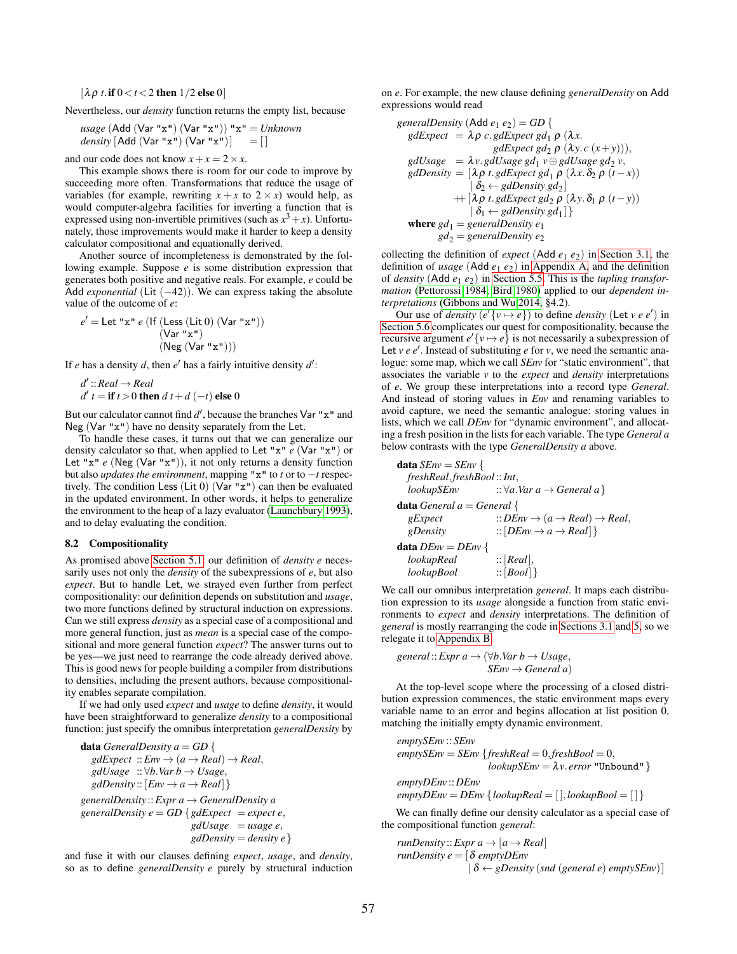$[\lambda \rho t$ .if  $0 < t < 2$  then  $1/2$  else  $0]$ 

Nevertheless, our *density* function returns the empty list, because

$$
usage (Add (Var "x") (Var "x")) "x" = Unknown
$$
  

$$
density [Add (Var "x") (Var "x")] = []
$$

and our code does not know  $x + x = 2 \times x$ .

This example shows there is room for our code to improve by succeeding more often. Transformations that reduce the usage of variables (for example, rewriting  $x + x$  to  $2 \times x$ ) would help, as would computer-algebra facilities for inverting a function that is expressed using non-invertible primitives (such as  $x^3 + x$ ). Unfortunately, those improvements would make it harder to keep a density calculator compositional and equationally derived.

Another source of incompleteness is demonstrated by the following example. Suppose *e* is some distribution expression that generates both positive and negative reals. For example, *e* could be Add *exponential* (Lit (−42)). We can express taking the absolute value of the outcome of *e*:

$$
e' = \text{Let "x" } e \text{ (If (Less (Lit 0) (Var "x"))} \\qquad \qquad \text{(Var "x")} \\qquad \qquad \text{(Neg (Var "x")))}
$$

If *e* has a density *d*, then  $e'$  has a fairly intuitive density  $d'$ :

*d* 0 ::*Real* → *Real*  $d'$  *t* = **if** *t* > 0 **then** *d t* + *d* (−*t*) **else** 0

But our calculator cannot find d', because the branches Var "x" and Neg (Var "x") have no density separately from the Let.

To handle these cases, it turns out that we can generalize our density calculator so that, when applied to Let "x" *e* (Var "x") or Let "x" *e* (Neg (Var "x")), it not only returns a density function but also *updates the environment*, mapping "x" to *t* or to −*t* respectively. The condition Less (Lit 0) (Var " $x$ ") can then be evaluated in the updated environment. In other words, it helps to generalize the environment to the heap of a lazy evaluator [\(Launchbury 1993\)](#page-11-18), and to delay evaluating the condition.

## <span id="page-10-0"></span>8.2 Compositionality

As promised above [Section 5.1,](#page-5-1) our definition of *density e* necessarily uses not only the *density* of the subexpressions of *e*, but also *expect*. But to handle Let, we strayed even further from perfect compositionality: our definition depends on substitution and *usage*, two more functions defined by structural induction on expressions. Can we still express *density* as a special case of a compositional and more general function, just as *mean* is a special case of the compositional and more general function *expect*? The answer turns out to be yes—we just need to rearrange the code already derived above. This is good news for people building a compiler from distributions to densities, including the present authors, because compositionality enables separate compilation.

If we had only used *expect* and *usage* to define *density*, it would have been straightforward to generalize *density* to a compositional function: just specify the omnibus interpretation *generalDensity* by

**data** *GeneralDensity*  $a = GD$  {  $gdExpected :: Env \rightarrow (a \rightarrow Real) \rightarrow Real,$ *gdUsage* :: ∀*b*.*Var b* → *Usage*,  $gdDensity::[Env \rightarrow a \rightarrow Real]$ *generalDensity* ::*Expr a* → *GeneralDensity a generalDensity e* =  $GD$  {*gdExpect* = *expect e*, *gdUsage* = *usage e*, *gdDensity* = *density e*}

and fuse it with our clauses defining *expect*, *usage*, and *density*, so as to define *generalDensity e* purely by structural induction on *e*. For example, the new clause defining *generalDensity* on Add expressions would read

*generalDensity* (Add 
$$
e_1 e_2
$$
) = GD {  
\n*gdExpected* =  $\lambda \rho$  *c*. *gdExpected*  $\rho$  ( $\lambda x$ .  
\n*gdExpected*  $\rho$  ( $\lambda y$ . *c* ( $x + y$ ))),  
\n*gdUsage* =  $\lambda v$ . *gdUsage*  $gd_1 v \oplus \rho dUsage$   $gd_2 v$ ,  
\n*gdDensity* = [ $\lambda \rho$  *t*. *gdExpected*  $\rho$  ( $\lambda x$ .  $\delta_2 \rho$  ( $t - x$ ))  
\n|  $\delta_2 \leftarrow \rho$  *gdDensity*  $gd_2$ ]  
\n+ [ $\lambda \rho$  *t*. *gdExpected*  $gd_2 \rho$  ( $\lambda y$ .  $\delta_1 \rho$  ( $t - y$ ))  
\n|  $\delta_1 \leftarrow \rho$  *gdDensity*  $gd_1$ ]  
\n**where**  $gd_1$  = *generalDensity*  $e_1$   
\n $gd_2$  = *generalDensity*  $e_2$ 

collecting the definition of *expect* (Add  $e_1$   $e_2$ ) in [Section 3.1,](#page-2-0) the definition of *usage* (Add  $e_1$   $e_2$ ) in [Appendix A,](#page-11-17) and the definition of *density* (Add *e*<sup>1</sup> *e*2) in [Section 5.5.](#page-7-0) This is the *tupling transformation* [\(Pettorossi 1984;](#page-11-19) [Bird 1980\)](#page-11-20) applied to our *dependent interpretations* [\(Gibbons and Wu 2014,](#page-11-21) §4.2).

Our use of *density*  $(e^t \{v \mapsto e\})$  to define *density* (Let *v e e'*) in [Section 5.6](#page-7-1) complicates our quest for compositionality, because the recursive argument  $e^{t} \{ v \mapsto e \}$  is not necessarily a subexpression of Let  $vee$  *e'*. Instead of substituting  $e$  for  $v$ , we need the semantic analogue: some map, which we call *SEnv* for "static environment", that associates the variable *v* to the *expect* and *density* interpretations of *e*. We group these interpretations into a record type *General*. And instead of storing values in *Env* and renaming variables to avoid capture, we need the semantic analogue: storing values in lists, which we call *DEnv* for "dynamic environment", and allocating a fresh position in the lists for each variable. The type *General a* below contrasts with the type *GeneralDensity a* above.

$$
\begin{aligned}\n\textbf{data} \, SEnv &= SEnv \{ \\
\quad \text{freshReal}, \text{freshBool} :: Int, \\
\quad \text{lookup} &= \text{if } \forall a. \text{Var } a \rightarrow \text{General } a \} \\
\textbf{data} \, \text{General} \, a &= \text{General} \{ \\
\quad \text{gExpected} &= \text{Ceneral} \{ \\
\quad \text{gDensity} &= \text{I} \cdot \text{DEnv} \rightarrow (a \rightarrow \text{Real}) \rightarrow \text{Real}, \\
\textbf{data} \, \text{DEnv} &= \text{DEnv} \{ \\
\quad \text{lookupReal} &= \text{[Real]}, \\
\quad \text{lookupBool} &= \text{[Bool]} \}\n\end{aligned}
$$

We call our omnibus interpretation *general*. It maps each distribution expression to its *usage* alongside a function from static environments to *expect* and *density* interpretations. The definition of *general* is mostly rearranging the code in [Sections 3.1](#page-2-0) and [5,](#page-5-0) so we relegate it to [Appendix B.](#page-12-0)

$$
general::Expr a \rightarrow (\forall b. Var b \rightarrow Usage, \text{SEnv} \rightarrow General a)
$$

At the top-level scope where the processing of a closed distribution expression commences, the static environment maps every variable name to an error and begins allocation at list position 0, matching the initially empty dynamic environment.

$$
emptySEnv::SEnv
$$
  
\n
$$
emptySEnv = SEnv \{ freshReal = 0, freshBool = 0,
$$
  
\n
$$
lookupSEnv = \lambda v. error "Unbound" \}
$$
  
\n
$$
emptyDEnv::DEN \{lookupReal = [\,], lookupBool = [\,]\}
$$

We can finally define our density calculator as a special case of the compositional function *general*:

*runDensity* :: *Expr a* → [*a* → *Real*]  
*runDensity* 
$$
e = [\delta \text{ emptyDEnv}
$$
  
 $|\delta \leftarrow \text{gDensity} (\text{snd} (\text{general } e) \text{ emptySEnv})]$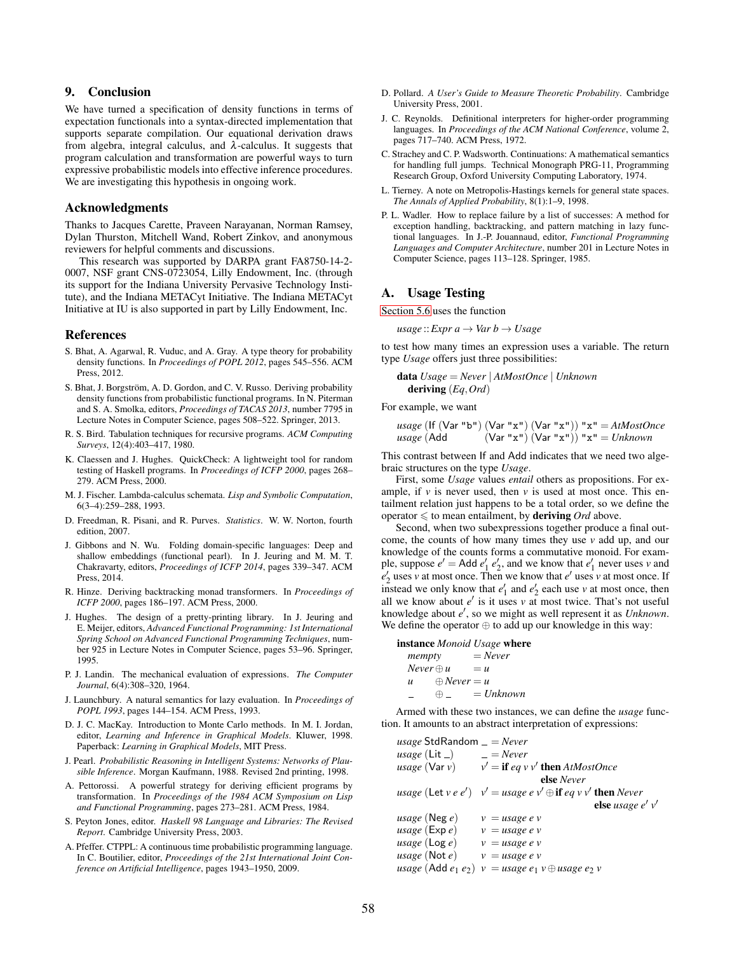# 9. Conclusion

We have turned a specification of density functions in terms of expectation functionals into a syntax-directed implementation that supports separate compilation. Our equational derivation draws from algebra, integral calculus, and  $\lambda$ -calculus. It suggests that program calculation and transformation are powerful ways to turn expressive probabilistic models into effective inference procedures. We are investigating this hypothesis in ongoing work.

## Acknowledgments

Thanks to Jacques Carette, Praveen Narayanan, Norman Ramsey, Dylan Thurston, Mitchell Wand, Robert Zinkov, and anonymous reviewers for helpful comments and discussions.

This research was supported by DARPA grant FA8750-14-2- 0007, NSF grant CNS-0723054, Lilly Endowment, Inc. (through its support for the Indiana University Pervasive Technology Institute), and the Indiana METACyt Initiative. The Indiana METACyt Initiative at IU is also supported in part by Lilly Endowment, Inc.

#### References

- <span id="page-11-11"></span>S. Bhat, A. Agarwal, R. Vuduc, and A. Gray. A type theory for probability density functions. In *Proceedings of POPL 2012*, pages 545–556. ACM Press, 2012.
- <span id="page-11-12"></span>S. Bhat, J. Borgström, A. D. Gordon, and C. V. Russo. Deriving probability density functions from probabilistic functional programs. In N. Piterman and S. A. Smolka, editors, *Proceedings of TACAS 2013*, number 7795 in Lecture Notes in Computer Science, pages 508–522. Springer, 2013.
- <span id="page-11-20"></span>R. S. Bird. Tabulation techniques for recursive programs. *ACM Computing Surveys*, 12(4):403–417, 1980.
- <span id="page-11-1"></span>K. Claessen and J. Hughes. QuickCheck: A lightweight tool for random testing of Haskell programs. In *Proceedings of ICFP 2000*, pages 268– 279. ACM Press, 2000.
- <span id="page-11-5"></span>M. J. Fischer. Lambda-calculus schemata. *Lisp and Symbolic Computation*, 6(3–4):259–288, 1993.
- <span id="page-11-14"></span>D. Freedman, R. Pisani, and R. Purves. *Statistics*. W. W. Norton, fourth edition, 2007.
- <span id="page-11-21"></span>J. Gibbons and N. Wu. Folding domain-specific languages: Deep and shallow embeddings (functional pearl). In J. Jeuring and M. M. T. Chakravarty, editors, *Proceedings of ICFP 2014*, pages 339–347. ACM Press, 2014.
- <span id="page-11-3"></span>R. Hinze. Deriving backtracking monad transformers. In *Proceedings of ICFP 2000*, pages 186–197. ACM Press, 2000.
- <span id="page-11-0"></span>J. Hughes. The design of a pretty-printing library. In J. Jeuring and E. Meijer, editors, *Advanced Functional Programming: 1st International Spring School on Advanced Functional Programming Techniques*, number 925 in Lecture Notes in Computer Science, pages 53–96. Springer, 1995.
- <span id="page-11-15"></span>P. J. Landin. The mechanical evaluation of expressions. *The Computer Journal*, 6(4):308–320, 1964.
- <span id="page-11-18"></span>J. Launchbury. A natural semantics for lazy evaluation. In *Proceedings of POPL 1993*, pages 144–154. ACM Press, 1993.
- <span id="page-11-8"></span>D. J. C. MacKay. Introduction to Monte Carlo methods. In M. I. Jordan, editor, *Learning and Inference in Graphical Models*. Kluwer, 1998. Paperback: *Learning in Graphical Models*, MIT Press.
- <span id="page-11-2"></span>J. Pearl. *Probabilistic Reasoning in Intelligent Systems: Networks of Plausible Inference*. Morgan Kaufmann, 1988. Revised 2nd printing, 1998.
- <span id="page-11-19"></span>A. Pettorossi. A powerful strategy for deriving efficient programs by transformation. In *Proceedings of the 1984 ACM Symposium on Lisp and Functional Programming*, pages 273–281. ACM Press, 1984.
- <span id="page-11-16"></span>S. Peyton Jones, editor. *Haskell 98 Language and Libraries: The Revised Report*. Cambridge University Press, 2003.
- <span id="page-11-10"></span>A. Pfeffer. CTPPL: A continuous time probabilistic programming language. In C. Boutilier, editor, *Proceedings of the 21st International Joint Conference on Artificial Intelligence*, pages 1943–1950, 2009.
- <span id="page-11-4"></span>D. Pollard. *A User's Guide to Measure Theoretic Probability*. Cambridge University Press, 2001.
- <span id="page-11-6"></span>J. C. Reynolds. Definitional interpreters for higher-order programming languages. In *Proceedings of the ACM National Conference*, volume 2, pages 717–740. ACM Press, 1972.
- <span id="page-11-7"></span>C. Strachey and C. P. Wadsworth. Continuations: A mathematical semantics for handling full jumps. Technical Monograph PRG-11, Programming Research Group, Oxford University Computing Laboratory, 1974.
- <span id="page-11-9"></span>L. Tierney. A note on Metropolis-Hastings kernels for general state spaces. *The Annals of Applied Probability*, 8(1):1–9, 1998.
- <span id="page-11-13"></span>P. L. Wadler. How to replace failure by a list of successes: A method for exception handling, backtracking, and pattern matching in lazy functional languages. In J.-P. Jouannaud, editor, *Functional Programming Languages and Computer Architecture*, number 201 in Lecture Notes in Computer Science, pages 113–128. Springer, 1985.

## <span id="page-11-17"></span>A. Usage Testing

[Section 5.6](#page-7-1) uses the function

 $usage::Expr a \rightarrow Var b \rightarrow Usage$ 

to test how many times an expression uses a variable. The return type *Usage* offers just three possibilities:

data *Usage* = *Never* | *AtMostOnce* | *Unknown* deriving (*Eq*,*Ord*)

For example, we want

*usage* (If (Var "b") (Var "x") (Var "x")) "x" = *AtMostOnce usage* (Add (Var "x") (Var "x")) "x" = *Unknown*

This contrast between If and Add indicates that we need two algebraic structures on the type *Usage*.

First, some *Usage* values *entail* others as propositions. For example, if  $\nu$  is never used, then  $\nu$  is used at most once. This entailment relation just happens to be a total order, so we define the operator  $\leq$  to mean entailment, by **deriving** *Ord* above.

Second, when two subexpressions together produce a final outcome, the counts of how many times they use *v* add up, and our knowledge of the counts forms a commutative monoid. For example, suppose  $e' = \text{Add } e'_1 e'_2$ , and we know that  $e'_1$  never uses *v* and  $e'_2$  uses *v* at most once. Then we know that  $e'$  uses *v* at most once. If instead we only know that  $e'_1$  and  $e'_2$  each use  $v$  at most once, then all we know about  $e^t$  is it uses  $v$  at most twice. That's not useful knowledge about e', so we might as well represent it as *Unknown*. We define the operator ⊕ to add up our knowledge in this way:

#### instance *Monoid Usage* where

| mempty    |                    |         | $=$ Never   |
|-----------|--------------------|---------|-------------|
| Never ⊕ u |                    | $=$ $u$ |             |
| u         | $\oplus$ Never = u |         |             |
|           | $\oplus$ $\equiv$  |         | $=$ Unknown |

Armed with these two instances, we can define the *usage* function. It amounts to an abstract interpretation of expressions:

| usage StdRandom $=$ $=$ Never |                                                                 |
|-------------------------------|-----------------------------------------------------------------|
| $usage (Lit_-)$               | $=$ Never                                                       |
| <i>usage</i> (Var $v$ )       | $v' =$ if eq v v' then AtMostOnce                               |
|                               | else Never                                                      |
|                               | usage (Let $vee'$ ) $v' = usagevev' \oplus ifeq vv'$ then Never |
|                               | else usage $e'$ $v'$                                            |
| <i>usage</i> (Neg $e$ )       | $v = usage e v$                                                 |
| usage $(\text{Exp } e)$       | $v = usage e v$                                                 |
| usage $(\text{Log } e)$       | $v = usage e v$                                                 |
| usage (Not e)                 | $v = usage e v$                                                 |
|                               | usage (Add $e_1 e_2$ ) $v = usage e_1 v \oplus usage e_2 v$     |
|                               |                                                                 |